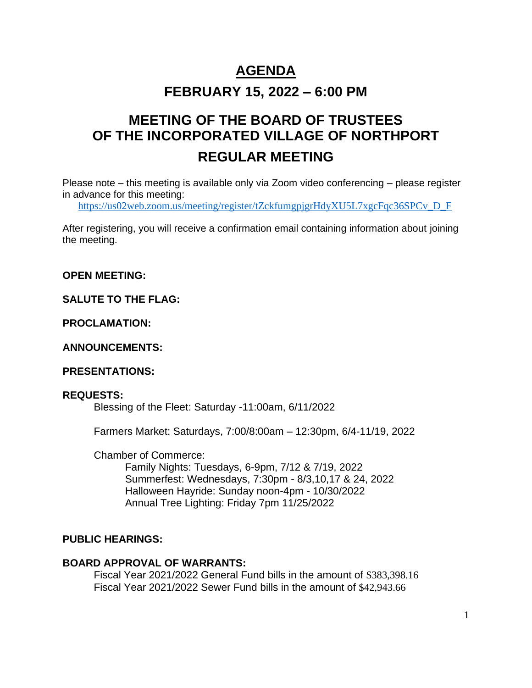# **AGENDA**

# **FEBRUARY 15, 2022 – 6:00 PM**

# **MEETING OF THE BOARD OF TRUSTEES OF THE INCORPORATED VILLAGE OF NORTHPORT REGULAR MEETING**

Please note – this meeting is available only via Zoom video conferencing – please register in advance for this meeting:

[https://us02web.zoom.us/meeting/register/tZckfumgpjgrHdyXU5L7xgcFqc36SPCv\\_D\\_F](https://us02web.zoom.us/meeting/register/tZckfumgpjgrHdyXU5L7xgcFqc36SPCv_D_F)

After registering, you will receive a confirmation email containing information about joining the meeting.

**OPEN MEETING:**

**SALUTE TO THE FLAG:**

**PROCLAMATION:**

**ANNOUNCEMENTS:** 

**PRESENTATIONS:** 

#### **REQUESTS:**

Blessing of the Fleet: Saturday -11:00am, 6/11/2022

Farmers Market: Saturdays, 7:00/8:00am – 12:30pm, 6/4-11/19, 2022

Chamber of Commerce:

Family Nights: Tuesdays, 6-9pm, 7/12 & 7/19, 2022 Summerfest: Wednesdays, 7:30pm - 8/3,10,17 & 24, 2022 Halloween Hayride: Sunday noon-4pm - 10/30/2022 Annual Tree Lighting: Friday 7pm 11/25/2022

### **PUBLIC HEARINGS:**

#### **BOARD APPROVAL OF WARRANTS:**

Fiscal Year 2021/2022 General Fund bills in the amount of \$383,398.16 Fiscal Year 2021/2022 Sewer Fund bills in the amount of \$42,943.66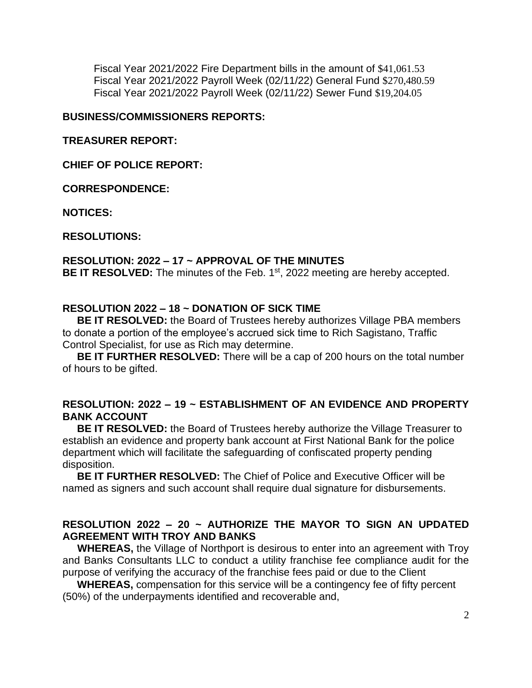Fiscal Year 2021/2022 Fire Department bills in the amount of \$41,061.53 Fiscal Year 2021/2022 Payroll Week (02/11/22) General Fund \$270,480.59 Fiscal Year 2021/2022 Payroll Week (02/11/22) Sewer Fund \$19,204.05

#### **BUSINESS/COMMISSIONERS REPORTS:**

#### **TREASURER REPORT:**

**CHIEF OF POLICE REPORT:**

**CORRESPONDENCE:**

**NOTICES:** 

**RESOLUTIONS:**

#### **RESOLUTION: 2022 – 17 ~ APPROVAL OF THE MINUTES**

BE IT RESOLVED: The minutes of the Feb. 1<sup>st</sup>, 2022 meeting are hereby accepted.

#### **RESOLUTION 2022 – 18 ~ DONATION OF SICK TIME**

 **BE IT RESOLVED:** the Board of Trustees hereby authorizes Village PBA members to donate a portion of the employee's accrued sick time to Rich Sagistano, Traffic Control Specialist, for use as Rich may determine.

 **BE IT FURTHER RESOLVED:** There will be a cap of 200 hours on the total number of hours to be gifted.

#### **RESOLUTION: 2022 – 19 ~ ESTABLISHMENT OF AN EVIDENCE AND PROPERTY BANK ACCOUNT**

**BE IT RESOLVED:** the Board of Trustees hereby authorize the Village Treasurer to establish an evidence and property bank account at First National Bank for the police department which will facilitate the safeguarding of confiscated property pending disposition.

 **BE IT FURTHER RESOLVED:** The Chief of Police and Executive Officer will be named as signers and such account shall require dual signature for disbursements.

#### **RESOLUTION 2022 – 20 ~ AUTHORIZE THE MAYOR TO SIGN AN UPDATED AGREEMENT WITH TROY AND BANKS**

 **WHEREAS,** the Village of Northport is desirous to enter into an agreement with Troy and Banks Consultants LLC to conduct a utility franchise fee compliance audit for the purpose of verifying the accuracy of the franchise fees paid or due to the Client

 **WHEREAS,** compensation for this service will be a contingency fee of fifty percent (50%) of the underpayments identified and recoverable and,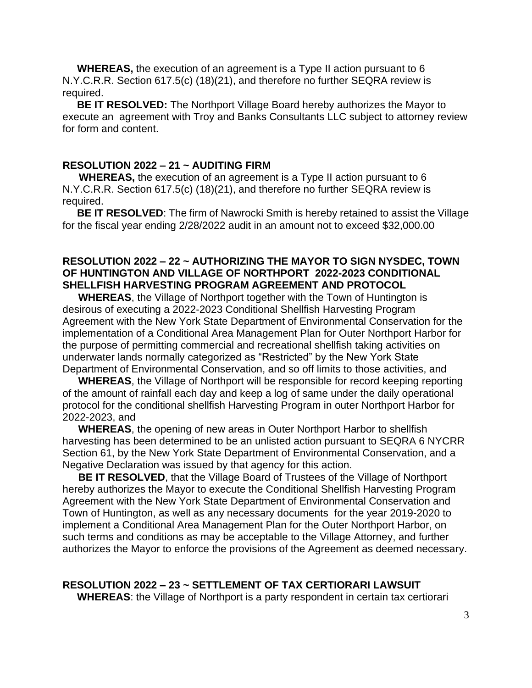**WHEREAS,** the execution of an agreement is a Type II action pursuant to 6 N.Y.C.R.R. Section 617.5(c) (18)(21), and therefore no further SEQRA review is required.

 **BE IT RESOLVED:** The Northport Village Board hereby authorizes the Mayor to execute an agreement with Troy and Banks Consultants LLC subject to attorney review for form and content.

#### **RESOLUTION 2022 – 21 ~ AUDITING FIRM**

 **WHEREAS,** the execution of an agreement is a Type II action pursuant to 6 N.Y.C.R.R. Section 617.5(c) (18)(21), and therefore no further SEQRA review is required.

**BE IT RESOLVED:** The firm of Nawrocki Smith is hereby retained to assist the Village for the fiscal year ending 2/28/2022 audit in an amount not to exceed \$32,000.00

#### **RESOLUTION 2022 – 22 ~ AUTHORIZING THE MAYOR TO SIGN NYSDEC, TOWN OF HUNTINGTON AND VILLAGE OF NORTHPORT 2022-2023 CONDITIONAL SHELLFISH HARVESTING PROGRAM AGREEMENT AND PROTOCOL**

**WHEREAS**, the Village of Northport together with the Town of Huntington is desirous of executing a 2022-2023 Conditional Shellfish Harvesting Program Agreement with the New York State Department of Environmental Conservation for the implementation of a Conditional Area Management Plan for Outer Northport Harbor for the purpose of permitting commercial and recreational shellfish taking activities on underwater lands normally categorized as "Restricted" by the New York State Department of Environmental Conservation, and so off limits to those activities, and

**WHEREAS**, the Village of Northport will be responsible for record keeping reporting of the amount of rainfall each day and keep a log of same under the daily operational protocol for the conditional shellfish Harvesting Program in outer Northport Harbor for 2022-2023, and

**WHEREAS**, the opening of new areas in Outer Northport Harbor to shellfish harvesting has been determined to be an unlisted action pursuant to SEQRA 6 NYCRR Section 61, by the New York State Department of Environmental Conservation, and a Negative Declaration was issued by that agency for this action.

**BE IT RESOLVED**, that the Village Board of Trustees of the Village of Northport hereby authorizes the Mayor to execute the Conditional Shellfish Harvesting Program Agreement with the New York State Department of Environmental Conservation and Town of Huntington, as well as any necessary documents for the year 2019-2020 to implement a Conditional Area Management Plan for the Outer Northport Harbor, on such terms and conditions as may be acceptable to the Village Attorney, and further authorizes the Mayor to enforce the provisions of the Agreement as deemed necessary.

#### **RESOLUTION 2022 – 23 ~ SETTLEMENT OF TAX CERTIORARI LAWSUIT**

 **WHEREAS**: the Village of Northport is a party respondent in certain tax certiorari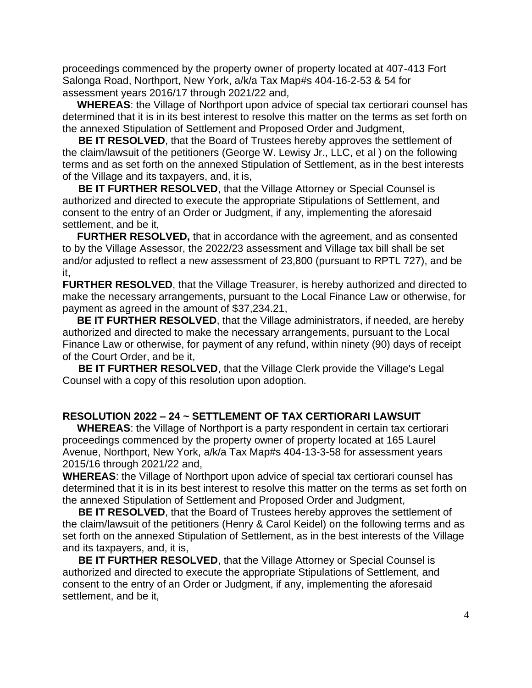proceedings commenced by the property owner of property located at 407-413 Fort Salonga Road, Northport, New York, a/k/a Tax Map#s 404-16-2-53 & 54 for assessment years 2016/17 through 2021/22 and,

 **WHEREAS**: the Village of Northport upon advice of special tax certiorari counsel has determined that it is in its best interest to resolve this matter on the terms as set forth on the annexed Stipulation of Settlement and Proposed Order and Judgment,

**BE IT RESOLVED**, that the Board of Trustees hereby approves the settlement of the claim/lawsuit of the petitioners (George W. Lewisy Jr., LLC, et al ) on the following terms and as set forth on the annexed Stipulation of Settlement, as in the best interests of the Village and its taxpayers, and, it is,

**BE IT FURTHER RESOLVED**, that the Village Attorney or Special Counsel is authorized and directed to execute the appropriate Stipulations of Settlement, and consent to the entry of an Order or Judgment, if any, implementing the aforesaid settlement, and be it,

 **FURTHER RESOLVED,** that in accordance with the agreement, and as consented to by the Village Assessor, the 2022/23 assessment and Village tax bill shall be set and/or adjusted to reflect a new assessment of 23,800 (pursuant to RPTL 727), and be it,

**FURTHER RESOLVED, that the Village Treasurer, is hereby authorized and directed to** make the necessary arrangements, pursuant to the Local Finance Law or otherwise, for payment as agreed in the amount of \$37,234.21,

 **BE IT FURTHER RESOLVED**, that the Village administrators, if needed, are hereby authorized and directed to make the necessary arrangements, pursuant to the Local Finance Law or otherwise, for payment of any refund, within ninety (90) days of receipt of the Court Order, and be it,

**BE IT FURTHER RESOLVED, that the Village Clerk provide the Village's Legal** Counsel with a copy of this resolution upon adoption.

#### **RESOLUTION 2022 – 24 ~ SETTLEMENT OF TAX CERTIORARI LAWSUIT**

 **WHEREAS**: the Village of Northport is a party respondent in certain tax certiorari proceedings commenced by the property owner of property located at 165 Laurel Avenue, Northport, New York, a/k/a Tax Map#s 404-13-3-58 for assessment years 2015/16 through 2021/22 and,

**WHEREAS**: the Village of Northport upon advice of special tax certiorari counsel has determined that it is in its best interest to resolve this matter on the terms as set forth on the annexed Stipulation of Settlement and Proposed Order and Judgment,

**BE IT RESOLVED**, that the Board of Trustees hereby approves the settlement of the claim/lawsuit of the petitioners (Henry & Carol Keidel) on the following terms and as set forth on the annexed Stipulation of Settlement, as in the best interests of the Village and its taxpayers, and, it is,

**BE IT FURTHER RESOLVED**, that the Village Attorney or Special Counsel is authorized and directed to execute the appropriate Stipulations of Settlement, and consent to the entry of an Order or Judgment, if any, implementing the aforesaid settlement, and be it,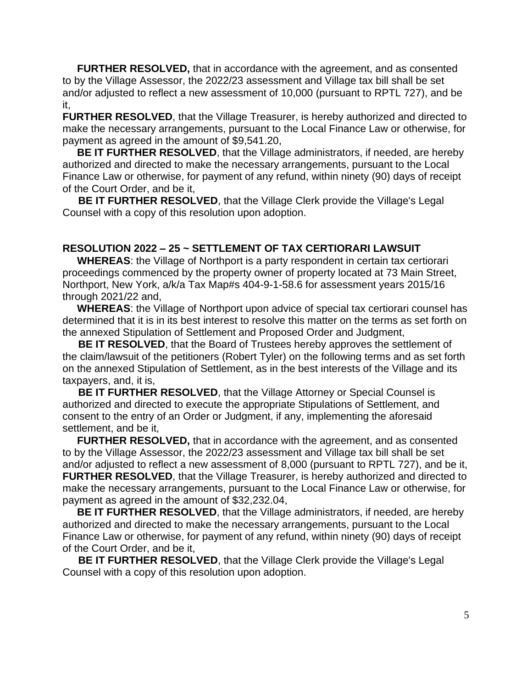**FURTHER RESOLVED,** that in accordance with the agreement, and as consented to by the Village Assessor, the 2022/23 assessment and Village tax bill shall be set and/or adjusted to reflect a new assessment of 10,000 (pursuant to RPTL 727), and be it,

**FURTHER RESOLVED**, that the Village Treasurer, is hereby authorized and directed to make the necessary arrangements, pursuant to the Local Finance Law or otherwise, for payment as agreed in the amount of \$9,541.20,

 **BE IT FURTHER RESOLVED**, that the Village administrators, if needed, are hereby authorized and directed to make the necessary arrangements, pursuant to the Local Finance Law or otherwise, for payment of any refund, within ninety (90) days of receipt of the Court Order, and be it,

**BE IT FURTHER RESOLVED, that the Village Clerk provide the Village's Legal** Counsel with a copy of this resolution upon adoption.

#### **RESOLUTION 2022 – 25 ~ SETTLEMENT OF TAX CERTIORARI LAWSUIT**

 **WHEREAS**: the Village of Northport is a party respondent in certain tax certiorari proceedings commenced by the property owner of property located at 73 Main Street, Northport, New York, a/k/a Tax Map#s 404-9-1-58.6 for assessment years 2015/16 through 2021/22 and,

 **WHEREAS**: the Village of Northport upon advice of special tax certiorari counsel has determined that it is in its best interest to resolve this matter on the terms as set forth on the annexed Stipulation of Settlement and Proposed Order and Judgment,

**BE IT RESOLVED**, that the Board of Trustees hereby approves the settlement of the claim/lawsuit of the petitioners (Robert Tyler) on the following terms and as set forth on the annexed Stipulation of Settlement, as in the best interests of the Village and its taxpayers, and, it is,

**BE IT FURTHER RESOLVED**, that the Village Attorney or Special Counsel is authorized and directed to execute the appropriate Stipulations of Settlement, and consent to the entry of an Order or Judgment, if any, implementing the aforesaid settlement, and be it,

 **FURTHER RESOLVED,** that in accordance with the agreement, and as consented to by the Village Assessor, the 2022/23 assessment and Village tax bill shall be set and/or adjusted to reflect a new assessment of 8,000 (pursuant to RPTL 727), and be it, **FURTHER RESOLVED, that the Village Treasurer, is hereby authorized and directed to** make the necessary arrangements, pursuant to the Local Finance Law or otherwise, for payment as agreed in the amount of \$32,232.04,

 **BE IT FURTHER RESOLVED**, that the Village administrators, if needed, are hereby authorized and directed to make the necessary arrangements, pursuant to the Local Finance Law or otherwise, for payment of any refund, within ninety (90) days of receipt of the Court Order, and be it,

**BE IT FURTHER RESOLVED, that the Village Clerk provide the Village's Legal** Counsel with a copy of this resolution upon adoption.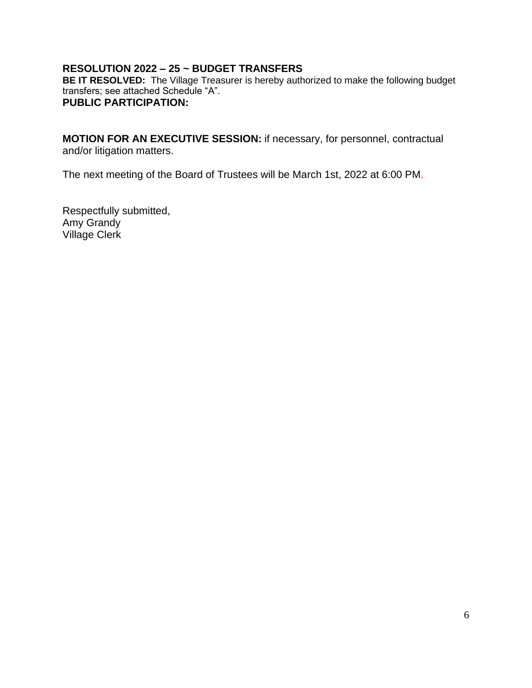#### **RESOLUTION 2022 – 25 ~ BUDGET TRANSFERS**

**BE IT RESOLVED:** The Village Treasurer is hereby authorized to make the following budget transfers; see attached Schedule "A". **PUBLIC PARTICIPATION:** 

**MOTION FOR AN EXECUTIVE SESSION:** if necessary, for personnel, contractual and/or litigation matters.

The next meeting of the Board of Trustees will be March 1st, 2022 at 6:00 PM.

Respectfully submitted, Amy Grandy Village Clerk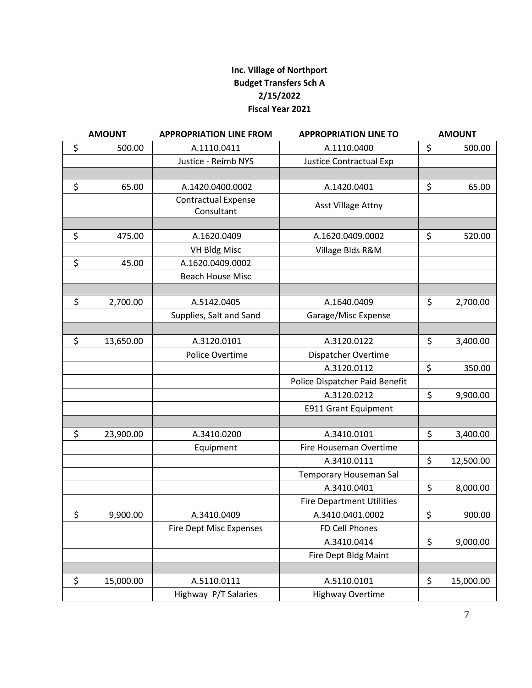#### **Inc. Village of Northport Budget Transfers Sch A 2/15/2022 Fiscal Year 2021**

| <b>AMOUNT</b>   | <b>APPROPRIATION LINE FROM</b>           | <b>APPROPRIATION LINE TO</b>     | <b>AMOUNT</b>   |
|-----------------|------------------------------------------|----------------------------------|-----------------|
| \$<br>500.00    | A.1110.0411                              | A.1110.0400                      | \$<br>500.00    |
|                 | Justice - Reimb NYS                      | Justice Contractual Exp          |                 |
|                 |                                          |                                  |                 |
| \$<br>65.00     | A.1420.0400.0002                         | A.1420.0401                      | \$<br>65.00     |
|                 | <b>Contractual Expense</b><br>Consultant | Asst Village Attny               |                 |
|                 |                                          |                                  |                 |
| \$<br>475.00    | A.1620.0409                              | A.1620.0409.0002                 | \$<br>520.00    |
|                 | <b>VH Bldg Misc</b>                      | Village Blds R&M                 |                 |
| \$<br>45.00     | A.1620.0409.0002                         |                                  |                 |
|                 | <b>Beach House Misc</b>                  |                                  |                 |
|                 |                                          |                                  |                 |
| \$<br>2,700.00  | A.5142.0405                              | A.1640.0409                      | \$<br>2,700.00  |
|                 | Supplies, Salt and Sand                  | Garage/Misc Expense              |                 |
|                 |                                          |                                  |                 |
| \$<br>13,650.00 | A.3120.0101                              | A.3120.0122                      | \$<br>3,400.00  |
|                 | Police Overtime                          | Dispatcher Overtime              |                 |
|                 |                                          | A.3120.0112                      | \$<br>350.00    |
|                 |                                          | Police Dispatcher Paid Benefit   |                 |
|                 |                                          | A.3120.0212                      | \$<br>9,900.00  |
|                 |                                          | <b>E911 Grant Equipment</b>      |                 |
|                 |                                          |                                  |                 |
| \$<br>23,900.00 | A.3410.0200                              | A.3410.0101                      | \$<br>3,400.00  |
|                 | Equipment                                | Fire Houseman Overtime           |                 |
|                 |                                          | A.3410.0111                      | \$<br>12,500.00 |
|                 |                                          | Temporary Houseman Sal           |                 |
|                 |                                          | A.3410.0401                      | \$<br>8,000.00  |
|                 |                                          | <b>Fire Department Utilities</b> |                 |
| \$<br>9,900.00  | A.3410.0409                              | A.3410.0401.0002                 | \$<br>900.00    |
|                 | <b>Fire Dept Misc Expenses</b>           | FD Cell Phones                   |                 |
|                 |                                          | A.3410.0414                      | \$<br>9,000.00  |
|                 |                                          | Fire Dept Bldg Maint             |                 |
|                 |                                          |                                  |                 |
| \$<br>15,000.00 | A.5110.0111                              | A.5110.0101                      | \$<br>15,000.00 |
|                 | Highway P/T Salaries                     | <b>Highway Overtime</b>          |                 |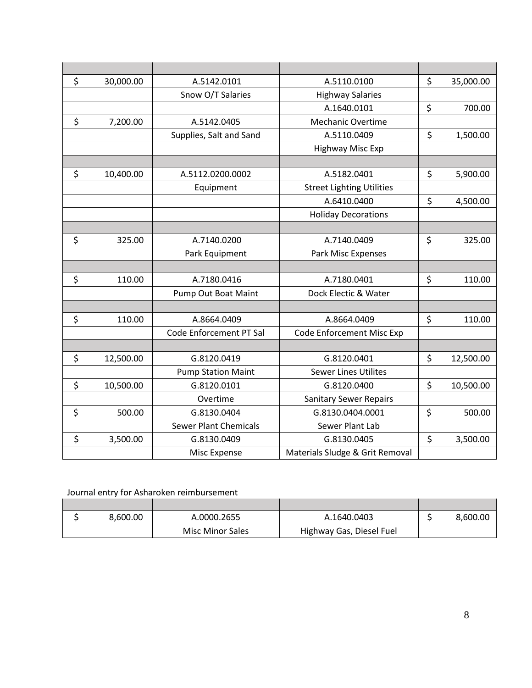| \$<br>30,000.00 | A.5142.0101                  | A.5110.0100                      | \$<br>35,000.00 |
|-----------------|------------------------------|----------------------------------|-----------------|
|                 | Snow O/T Salaries            | <b>Highway Salaries</b>          |                 |
|                 |                              | A.1640.0101                      | \$<br>700.00    |
| \$<br>7,200.00  | A.5142.0405                  | <b>Mechanic Overtime</b>         |                 |
|                 | Supplies, Salt and Sand      | A.5110.0409                      | \$<br>1,500.00  |
|                 |                              | Highway Misc Exp                 |                 |
|                 |                              |                                  |                 |
| \$<br>10,400.00 | A.5112.0200.0002             | A.5182.0401                      | \$<br>5,900.00  |
|                 | Equipment                    | <b>Street Lighting Utilities</b> |                 |
|                 |                              | A.6410.0400                      | \$<br>4,500.00  |
|                 |                              | <b>Holiday Decorations</b>       |                 |
|                 |                              |                                  |                 |
| \$<br>325.00    | A.7140.0200                  | A.7140.0409                      | \$<br>325.00    |
|                 | Park Equipment               | Park Misc Expenses               |                 |
|                 |                              |                                  |                 |
| \$<br>110.00    | A.7180.0416                  | A.7180.0401                      | \$<br>110.00    |
|                 | Pump Out Boat Maint          | Dock Electic & Water             |                 |
|                 |                              |                                  |                 |
| \$<br>110.00    | A.8664.0409                  | A.8664.0409                      | \$<br>110.00    |
|                 | Code Enforcement PT Sal      | Code Enforcement Misc Exp        |                 |
|                 |                              |                                  |                 |
| \$<br>12,500.00 | G.8120.0419                  | G.8120.0401                      | \$<br>12,500.00 |
|                 | <b>Pump Station Maint</b>    | <b>Sewer Lines Utilites</b>      |                 |
| \$<br>10,500.00 | G.8120.0101                  | G.8120.0400                      | \$<br>10,500.00 |
|                 | Overtime                     | <b>Sanitary Sewer Repairs</b>    |                 |
| \$<br>500.00    | G.8130.0404                  | G.8130.0404.0001                 | \$<br>500.00    |
|                 | <b>Sewer Plant Chemicals</b> | Sewer Plant Lab                  |                 |
| \$<br>3,500.00  | G.8130.0409                  | G.8130.0405                      | \$<br>3,500.00  |
|                 | Misc Expense                 | Materials Sludge & Grit Removal  |                 |

#### Journal entry for Asharoken reimbursement

| 8.600.00 | A.0000.2655             | A.1640.0403              | 8,600.00 |
|----------|-------------------------|--------------------------|----------|
|          | <b>Misc Minor Sales</b> | Highway Gas, Diesel Fuel |          |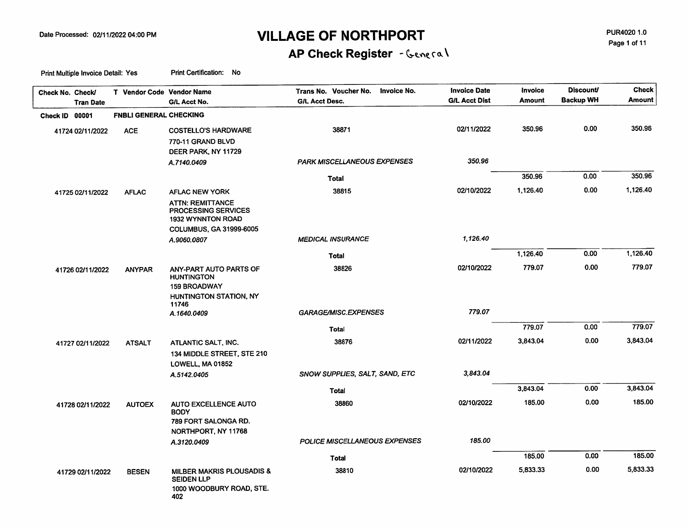PUR4020 1.0 Page 1 of 11

# AP Check Register - General

| Check No. Check/<br><b>Tran Date</b> | T Vendor Code Vendor Name     | G/L Acct No.                                                                | Trans No. Voucher No.<br>Invoice No.<br><b>G/L Acct Desc.</b> | <b>Invoice Date</b><br><b>G/L Acct Dist</b> | <b>Invoice</b><br>Amount | <b>Discount/</b><br><b>Backup WH</b> | Check<br><b>Amount</b> |
|--------------------------------------|-------------------------------|-----------------------------------------------------------------------------|---------------------------------------------------------------|---------------------------------------------|--------------------------|--------------------------------------|------------------------|
| Check ID 00001                       | <b>FNBLI GENERAL CHECKING</b> |                                                                             |                                                               |                                             |                          |                                      |                        |
| 41724 02/11/2022                     | <b>ACE</b>                    | <b>COSTELLO'S HARDWARE</b>                                                  | 38871                                                         | 02/11/2022                                  | 350.96                   | 0.00                                 | 350.96                 |
|                                      |                               | 770-11 GRAND BLVD<br>DEER PARK, NY 11729                                    |                                                               |                                             |                          |                                      |                        |
|                                      |                               | A.7140.0409                                                                 | <b>PARK MISCELLANEOUS EXPENSES</b>                            | 350.96                                      |                          |                                      |                        |
|                                      |                               |                                                                             | Total                                                         |                                             | 350.96                   | 0.00                                 | 350.96                 |
| 41725 02/11/2022                     | <b>AFLAC</b>                  | <b>AFLAC NEW YORK</b>                                                       | 38815                                                         | 02/10/2022                                  | 1,126.40                 | 0.00                                 | 1,126.40               |
|                                      |                               | <b>ATTN: REMITTANCE</b><br>PROCESSING SERVICES<br><b>1932 WYNNTON ROAD</b>  |                                                               |                                             |                          |                                      |                        |
|                                      |                               | <b>COLUMBUS, GA 31999-6005</b><br>A.9060.0807                               | <b>MEDICAL INSURANCE</b>                                      | 1,126.40                                    |                          |                                      |                        |
|                                      |                               |                                                                             | <b>Total</b>                                                  |                                             | 1,126.40                 | 0.00                                 | 1,126.40               |
|                                      |                               | ANY-PART AUTO PARTS OF                                                      | 38826                                                         | 02/10/2022                                  | 779.07                   | 0.00                                 | 779.07                 |
| 41726 02/11/2022                     | <b>ANYPAR</b>                 | <b>HUNTINGTON</b><br><b>159 BROADWAY</b><br>HUNTINGTON STATION, NY<br>11746 |                                                               |                                             |                          |                                      |                        |
|                                      |                               | A.1640.0409                                                                 | GARAGE/MISC.EXPENSES                                          | 779.07                                      |                          |                                      |                        |
|                                      |                               |                                                                             | <b>Total</b>                                                  |                                             | 779.07                   | 0.00                                 | 779.07                 |
| 41727 02/11/2022                     | <b>ATSALT</b>                 | ATLANTIC SALT, INC.                                                         | 38876                                                         | 02/11/2022                                  | 3,843.04                 | 0.00                                 | 3,843.04               |
|                                      |                               | 134 MIDDLE STREET, STE 210<br>LOWELL, MA 01852                              |                                                               |                                             |                          |                                      |                        |
|                                      |                               | A.5142.0405                                                                 | SNOW SUPPLIES, SALT, SAND, ETC                                | 3,843.04                                    |                          |                                      |                        |
|                                      |                               |                                                                             | Total                                                         |                                             | 3,843.04                 | 0.00                                 | 3,843.04               |
| 41728 02/11/2022                     | <b>AUTOEX</b>                 | <b>AUTO EXCELLENCE AUTO</b><br><b>BODY</b>                                  | 38860                                                         | 02/10/2022                                  | 185.00                   | 0.00                                 | 185.00                 |
|                                      |                               | 789 FORT SALONGA RD.<br>NORTHPORT, NY 11768                                 |                                                               |                                             |                          |                                      |                        |
|                                      |                               | A.3120.0409                                                                 | POLICE MISCELLANEOUS EXPENSES                                 | 185.00                                      |                          |                                      |                        |
|                                      |                               |                                                                             | <b>Total</b>                                                  |                                             | 185.00                   | 0.00                                 | 185.00                 |
| 41729 02/11/2022                     | <b>BESEN</b>                  | MILBER MAKRIS PLOUSADIS &                                                   | 38810                                                         | 02/10/2022                                  | 5,833.33                 | 0.00                                 | 5.833.33               |
|                                      |                               | <b>SEIDEN LLP</b><br>1000 WOODBURY ROAD, STE.<br>402                        |                                                               |                                             |                          |                                      |                        |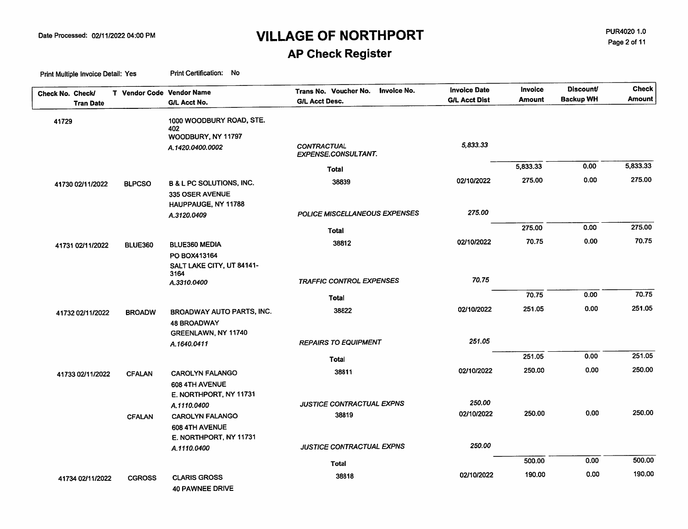PUR4020 1.0 Page 2 of 11

### **AP Check Register**

| Check No. Check/ | T Vendor Code Vendor Name |                                                        | <b>Invoice No.</b><br>Trans No. Voucher No.      | <b>Invoice Date</b><br><b>G/L Acct Dist</b> | Invoice<br><b>Amount</b> | <b>Discount</b><br><b>Backup WH</b> | <b>Check</b><br><b>Amount</b> |
|------------------|---------------------------|--------------------------------------------------------|--------------------------------------------------|---------------------------------------------|--------------------------|-------------------------------------|-------------------------------|
| <b>Tran Date</b> |                           | G/L Acct No.                                           | <b>G/L Acct Desc.</b>                            |                                             |                          |                                     |                               |
| 41729            |                           | 1000 WOODBURY ROAD, STE.<br>402                        |                                                  |                                             |                          |                                     |                               |
|                  |                           | WOODBURY, NY 11797                                     |                                                  |                                             |                          |                                     |                               |
|                  |                           | A.1420.0400.0002                                       | <b>CONTRACTUAL</b><br><b>EXPENSE.CONSULTANT.</b> | 5,833.33                                    |                          |                                     |                               |
|                  |                           |                                                        | <b>Total</b>                                     |                                             | 5,833.33                 | 0.00                                | 5,833.33                      |
| 41730 02/11/2022 | <b>BLPCSO</b>             | <b>B &amp; L PC SOLUTIONS, INC.</b><br>335 OSER AVENUE | 38839                                            | 02/10/2022                                  | 275.00                   | 0.00                                | 275.00                        |
|                  |                           | HAUPPAUGE, NY 11788                                    |                                                  |                                             |                          |                                     |                               |
|                  |                           | A.3120.0409                                            | POLICE MISCELLANEOUS EXPENSES                    | 275.00                                      |                          |                                     |                               |
|                  |                           |                                                        | Total                                            |                                             | 275.00                   | 0.00                                | 275.00                        |
| 41731 02/11/2022 | <b>BLUE360</b>            | <b>BLUE360 MEDIA</b>                                   | 38812                                            | 02/10/2022                                  | 70.75                    | 0.00                                | 70.75                         |
|                  |                           | PO BOX413164                                           |                                                  |                                             |                          |                                     |                               |
|                  |                           | SALT LAKE CITY, UT 84141-                              |                                                  |                                             |                          |                                     |                               |
|                  |                           | 3164<br>A.3310.0400                                    | <b>TRAFFIC CONTROL EXPENSES</b>                  | 70.75                                       |                          |                                     |                               |
|                  |                           |                                                        | Total                                            |                                             | 70.75                    | 0.00                                | 70.75                         |
| 41732 02/11/2022 | <b>BROADW</b>             | BROADWAY AUTO PARTS, INC.                              | 38822                                            | 02/10/2022                                  | 251.05                   | 0.00                                | 251.05                        |
|                  |                           | <b>48 BROADWAY</b>                                     |                                                  |                                             |                          |                                     |                               |
|                  |                           | <b>GREENLAWN, NY 11740</b>                             |                                                  |                                             |                          |                                     |                               |
|                  |                           | A.1640.0411                                            | <b>REPAIRS TO EQUIPMENT</b>                      | 251.05                                      |                          |                                     |                               |
|                  |                           |                                                        | Total                                            |                                             | 251.05                   | 0.00                                | 251.05                        |
| 41733 02/11/2022 | <b>CFALAN</b>             | <b>CAROLYN FALANGO</b>                                 | 38811                                            | 02/10/2022                                  | 250.00                   | 0.00                                | 250.00                        |
|                  |                           | 608 4TH AVENUE                                         |                                                  |                                             |                          |                                     |                               |
|                  |                           | E. NORTHPORT, NY 11731                                 |                                                  |                                             |                          |                                     |                               |
|                  |                           | A.1110.0400                                            | JUSTICE CONTRACTUAL EXPNS                        | 250.00                                      |                          |                                     |                               |
|                  | <b>CFALAN</b>             | <b>CAROLYN FALANGO</b>                                 | 38819                                            | 02/10/2022                                  | 250.00                   | 0.00                                | 250.00                        |
|                  |                           | 608 4TH AVENUE                                         |                                                  |                                             |                          |                                     |                               |
|                  |                           | E. NORTHPORT, NY 11731                                 | JUSTICE CONTRACTUAL EXPNS                        | 250.00                                      |                          |                                     |                               |
|                  |                           | A.1110.0400                                            |                                                  |                                             |                          |                                     |                               |
|                  |                           |                                                        | Total                                            |                                             | 500.00                   | 0.00                                | 500.00                        |
| 41734 02/11/2022 | <b>CGROSS</b>             | <b>CLARIS GROSS</b><br><b>40 PAWNEE DRIVE</b>          | 38818                                            | 02/10/2022                                  | 190.00                   | 0.00                                | 190.00                        |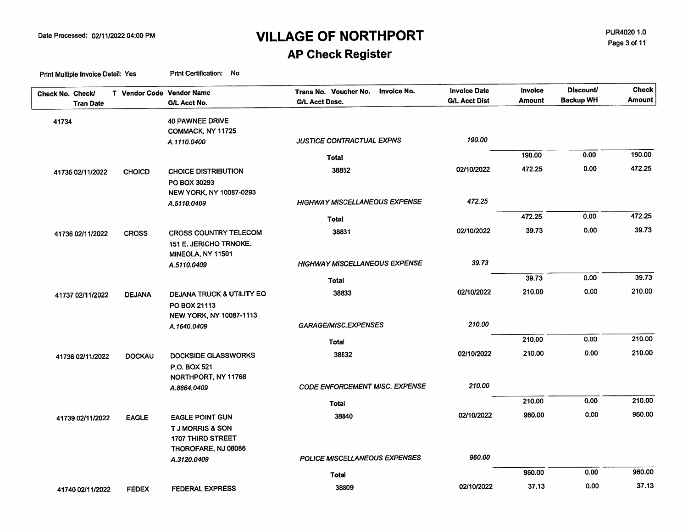PUR4020 1.0 Page 3 of 11

### **AP Check Register**

| Check No. Check/ | <b>Tran Date</b> | T Vendor Code Vendor Name | G/L Acct No.                                                              | Trans No. Voucher No. Invoice No.<br><b>G/L Acct Desc.</b> | <b>Invoice Date</b><br><b>G/L Acct Dist</b> | Invoice<br><b>Amount</b> | <b>Discount/</b><br><b>Backup WH</b> | <b>Check</b><br>Amount |
|------------------|------------------|---------------------------|---------------------------------------------------------------------------|------------------------------------------------------------|---------------------------------------------|--------------------------|--------------------------------------|------------------------|
| 41734            |                  |                           | <b>40 PAWNEE DRIVE</b><br>COMMACK, NY 11725                               |                                                            |                                             |                          |                                      |                        |
|                  |                  |                           | A.1110.0400                                                               | JUSTICE CONTRACTUAL EXPNS                                  | 190.00                                      |                          |                                      |                        |
|                  |                  |                           |                                                                           | <b>Total</b>                                               |                                             | 190.00                   | 0.00                                 | 190.00                 |
|                  | 41735 02/11/2022 | <b>CHOICD</b>             | <b>CHOICE DISTRIBUTION</b><br>PO BOX 30293                                | 38852                                                      | 02/10/2022                                  | 472.25                   | 0.00                                 | 472.25                 |
|                  |                  |                           | NEW YORK, NY 10087-0293<br>A.5110.0409                                    | <b>HIGHWAY MISCELLANEOUS EXPENSE</b>                       | 472.25                                      |                          |                                      |                        |
|                  |                  |                           |                                                                           | Total                                                      |                                             | 472.25                   | 0.00                                 | 472.25                 |
|                  | 41736 02/11/2022 | <b>CROSS</b>              | <b>CROSS COUNTRY TELECOM</b><br>151 E. JERICHO TRNOKE.                    | 38831                                                      | 02/10/2022                                  | 39.73                    | 0.00                                 | 39.73                  |
|                  |                  |                           | MINEOLA, NY 11501<br>A.5110.0409                                          | <b>HIGHWAY MISCELLANEOUS EXPENSE</b>                       | 39.73                                       |                          |                                      |                        |
|                  |                  |                           |                                                                           | Total                                                      |                                             | 39.73                    | 0.00                                 | 39.73                  |
|                  | 41737 02/11/2022 | <b>DEJANA</b>             | DEJANA TRUCK & UTILITY EQ<br>PO BOX 21113                                 | 38833                                                      | 02/10/2022                                  | 210.00                   | 0.00                                 | 210.00                 |
|                  |                  |                           | NEW YORK, NY 10087-1113<br>A.1640.0409                                    | GARAGE/MISC.EXPENSES                                       | 210.00                                      |                          |                                      |                        |
|                  |                  |                           |                                                                           | <b>Total</b>                                               |                                             | 210.00                   | 0.00                                 | 210.00                 |
|                  | 41738 02/11/2022 | <b>DOCKAU</b>             | <b>DOCKSIDE GLASSWORKS</b><br>P.O. BOX 521                                | 38832                                                      | 02/10/2022                                  | 210.00                   | 0.00                                 | 210.00                 |
|                  |                  |                           | NORTHPORT, NY 11768<br>A.8664.0409                                        | CODE ENFORCEMENT MISC. EXPENSE                             | 210.00                                      |                          |                                      |                        |
|                  |                  |                           |                                                                           | Total                                                      |                                             | 210.00                   | 0.00                                 | 210.00                 |
|                  | 41739 02/11/2022 | <b>EAGLE</b>              | <b>EAGLE POINT GUN</b><br><b>TJ MORRIS &amp; SON</b><br>1707 THIRD STREET | 38840                                                      | 02/10/2022                                  | 960.00                   | 0.00                                 | 960.00                 |
|                  |                  |                           | THOROFARE, NJ 08086<br>A.3120.0409                                        | POLICE MISCELLANEOUS EXPENSES                              | 960.00                                      |                          |                                      |                        |
|                  |                  |                           |                                                                           | <b>Total</b>                                               |                                             | 960.00                   | 0.00                                 | 960.00                 |
|                  | 41740 02/11/2022 | <b>FEDEX</b>              | FEDERAL EXPRESS                                                           | 38809                                                      | 02/10/2022                                  | 37.13                    | 0.00                                 | 37.13                  |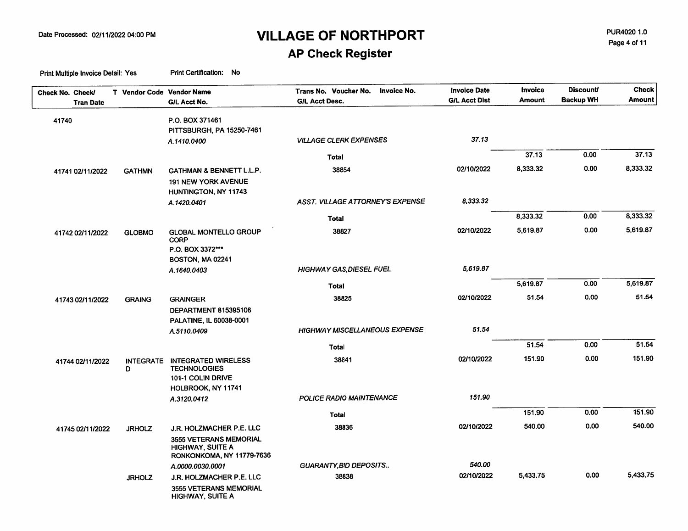PUR4020 1.0 Page 4 of 11

### **AP Check Register**

| Check No. Check/<br><b>Tran Date</b> | T Vendor Code Vendor Name | G/L Acct No.                                      | Trans No. Voucher No.<br><b>Invoice No.</b><br><b>G/L Acct Desc.</b> | <b>Invoice Date</b><br><b>G/L Acct Dist</b> | <b>Invoice</b><br><b>Amount</b> | <b>Discount/</b><br><b>Backup WH</b> | <b>Check</b><br><b>Amount</b> |
|--------------------------------------|---------------------------|---------------------------------------------------|----------------------------------------------------------------------|---------------------------------------------|---------------------------------|--------------------------------------|-------------------------------|
|                                      |                           |                                                   |                                                                      |                                             |                                 |                                      |                               |
| 41740                                |                           | P.O. BOX 371461                                   |                                                                      |                                             |                                 |                                      |                               |
|                                      |                           | PITTSBURGH, PA 15250-7461                         | <b>VILLAGE CLERK EXPENSES</b>                                        | 37.13                                       |                                 |                                      |                               |
|                                      |                           | A.1410.0400                                       |                                                                      |                                             |                                 |                                      |                               |
|                                      |                           |                                                   | <b>Total</b>                                                         |                                             | 37.13                           | 0.00                                 | 37.13                         |
| 41741 02/11/2022                     | <b>GATHMN</b>             | GATHMAN & BENNETT L.L.P.                          | 38854                                                                | 02/10/2022                                  | 8,333.32                        | 0.00                                 | 8,333.32                      |
|                                      |                           | 191 NEW YORK AVENUE                               |                                                                      |                                             |                                 |                                      |                               |
|                                      |                           | HUNTINGTON, NY 11743                              |                                                                      |                                             |                                 |                                      |                               |
|                                      |                           | A.1420.0401                                       | ASST. VILLAGE ATTORNEY'S EXPENSE                                     | 8,333.32                                    |                                 |                                      |                               |
|                                      |                           |                                                   | <b>Total</b>                                                         |                                             | 8,333.32                        | 0.00                                 | 8,333.32                      |
| 41742 02/11/2022                     | <b>GLOBMO</b>             | <b>GLOBAL MONTELLO GROUP</b>                      | 38827                                                                | 02/10/2022                                  | 5,619.87                        | 0.00                                 | 5,619.87                      |
|                                      |                           | <b>CORP</b>                                       |                                                                      |                                             |                                 |                                      |                               |
|                                      |                           | P.O. BOX 3372***                                  |                                                                      |                                             |                                 |                                      |                               |
|                                      |                           | BOSTON, MA 02241                                  |                                                                      |                                             |                                 |                                      |                               |
|                                      |                           | A.1640.0403                                       | <b>HIGHWAY GAS, DIESEL FUEL</b>                                      | 5,619.87                                    |                                 |                                      |                               |
|                                      |                           |                                                   | <b>Total</b>                                                         |                                             | 5,619.87                        | 0.00                                 | 5,619.87                      |
| 41743 02/11/2022                     | <b>GRAING</b>             | <b>GRAINGER</b>                                   | 38825                                                                | 02/10/2022                                  | 51.54                           | 0.00                                 | 51.54                         |
|                                      |                           | DEPARTMENT 815395108                              |                                                                      |                                             |                                 |                                      |                               |
|                                      |                           | PALATINE, IL 60038-0001                           |                                                                      |                                             |                                 |                                      |                               |
|                                      |                           | A.5110.0409                                       | <b>HIGHWAY MISCELLANEOUS EXPENSE</b>                                 | 51.54                                       |                                 |                                      |                               |
|                                      |                           |                                                   | <b>Total</b>                                                         |                                             | 51.54                           | 0.00                                 | 51.54                         |
| 41744 02/11/2022                     | <b>INTEGRATE</b>          | <b>INTEGRATED WIRELESS</b>                        | 38841                                                                | 02/10/2022                                  | 151.90                          | 0.00                                 | 151.90                        |
|                                      | D                         | <b>TECHNOLOGIES</b>                               |                                                                      |                                             |                                 |                                      |                               |
|                                      |                           | 101-1 COLIN DRIVE                                 |                                                                      |                                             |                                 |                                      |                               |
|                                      |                           | HOLBROOK, NY 11741                                |                                                                      |                                             |                                 |                                      |                               |
|                                      |                           | A.3120.0412                                       | POLICE RADIO MAINTENANCE                                             | 151.90                                      |                                 |                                      |                               |
|                                      |                           |                                                   | <b>Total</b>                                                         |                                             | 151.90                          | 0.00                                 | 151.90                        |
| 41745 02/11/2022                     | <b>JRHOLZ</b>             | J.R. HOLZMACHER P.E. LLC                          | 38836                                                                | 02/10/2022                                  | 540.00                          | 0.00                                 | 540.00                        |
|                                      |                           | 3555 VETERANS MEMORIAL                            |                                                                      |                                             |                                 |                                      |                               |
|                                      |                           | <b>HIGHWAY, SUITE A</b>                           |                                                                      |                                             |                                 |                                      |                               |
|                                      |                           | RONKONKOMA, NY 11779-7636                         | GUARANTY, BID DEPOSITS                                               | 540.00                                      |                                 |                                      |                               |
|                                      |                           | A.0000.0030.0001<br>J.R. HOLZMACHER P.E. LLC      | 38838                                                                | 02/10/2022                                  | 5,433.75                        | 0.00                                 | 5,433.75                      |
|                                      | <b>JRHOLZ</b>             |                                                   |                                                                      |                                             |                                 |                                      |                               |
|                                      |                           | 3555 VETERANS MEMORIAL<br><b>HIGHWAY, SUITE A</b> |                                                                      |                                             |                                 |                                      |                               |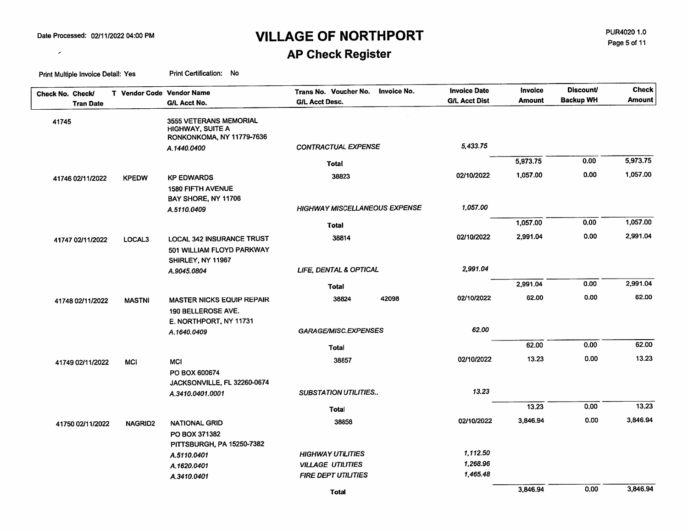$\mathcal{L}_{\mathcal{A}}$ 

# **VILLAGE OF NORTHPORT**

PUR4020 1.0 Page 5 of 11

### **AP Check Register**

| Check No. Check/<br><b>Tran Date</b> | T Vendor Code Vendor Name | G/L Acct No.                                                              | <b>Invoice No.</b><br>Trans No. Voucher No.<br><b>G/L Acct Desc.</b> | <b>Invoice Date</b><br><b>G/L Acct Dist</b> | Invoice<br><b>Amount</b> | <b>Discount/</b><br><b>Backup WH</b> | <b>Check</b><br><b>Amount</b> |
|--------------------------------------|---------------------------|---------------------------------------------------------------------------|----------------------------------------------------------------------|---------------------------------------------|--------------------------|--------------------------------------|-------------------------------|
| 41745                                |                           | 3555 VETERANS MEMORIAL<br>HIGHWAY, SUITE A<br>RONKONKOMA, NY 11779-7636   |                                                                      |                                             |                          |                                      |                               |
|                                      |                           | A.1440.0400                                                               | <b>CONTRACTUAL EXPENSE</b>                                           | 5,433.75                                    |                          |                                      |                               |
|                                      |                           |                                                                           | Total                                                                |                                             | 5,973.75                 | 0.00                                 | 5,973.75                      |
| 41746 02/11/2022                     | <b>KPEDW</b>              | <b>KP EDWARDS</b>                                                         | 38823                                                                | 02/10/2022                                  | 1,057.00                 | 0.00                                 | 1,057.00                      |
|                                      |                           | <b>1580 FIFTH AVENUE</b><br>BAY SHORE, NY 11706                           |                                                                      |                                             |                          |                                      |                               |
|                                      |                           | A.5110.0409                                                               | <b>HIGHWAY MISCELLANEOUS EXPENSE</b>                                 | 1,057.00                                    |                          |                                      |                               |
|                                      |                           |                                                                           | <b>Total</b>                                                         |                                             | 1,057.00                 | 0.00                                 | 1,057.00                      |
| 41747 02/11/2022                     | LOCAL3                    | <b>LOCAL 342 INSURANCE TRUST</b><br>501 WILLIAM FLOYD PARKWAY             | 38814                                                                | 02/10/2022                                  | 2,991.04                 | 0.00                                 | 2,991.04                      |
|                                      |                           | SHIRLEY, NY 11967                                                         | LIFE, DENTAL & OPTICAL                                               | 2,991.04                                    |                          |                                      |                               |
|                                      |                           | A.9045.0804                                                               |                                                                      |                                             |                          |                                      |                               |
|                                      |                           |                                                                           | <b>Total</b>                                                         |                                             | 2,991.04                 | 0.00                                 | 2,991.04                      |
| 41748 02/11/2022                     | <b>MASTNI</b>             | MASTER NICKS EQUIP REPAIR<br>190 BELLEROSE AVE.<br>E. NORTHPORT, NY 11731 | 38824<br>42098                                                       | 02/10/2022                                  | 62.00                    | 0.00                                 | 62.00                         |
|                                      |                           | A.1640.0409                                                               | GARAGE/MISC.EXPENSES                                                 | 62.00                                       |                          |                                      |                               |
|                                      |                           |                                                                           | Total                                                                |                                             | 62.00                    | 0.00                                 | 62.00                         |
| 41749 02/11/2022                     | <b>MCI</b>                | <b>MCI</b>                                                                | 38857                                                                | 02/10/2022                                  | 13.23                    | 0.00                                 | 13.23                         |
|                                      |                           | PO BOX 600674<br>JACKSONVILLE, FL 32260-0674                              |                                                                      |                                             |                          |                                      |                               |
|                                      |                           | A.3410.0401.0001                                                          | <b>SUBSTATION UTILITIES</b>                                          | 13.23                                       |                          |                                      |                               |
|                                      |                           |                                                                           | Total                                                                |                                             | 13.23                    | 0.00                                 | 13.23                         |
| 41750 02/11/2022                     | <b>NAGRID2</b>            | NATIONAL GRID                                                             | 38858                                                                | 02/10/2022                                  | 3,846.94                 | 0.00                                 | 3,846.94                      |
|                                      |                           | PO BOX 371382<br><b>PITTSBURGH, PA 15250-7382</b>                         |                                                                      |                                             |                          |                                      |                               |
|                                      |                           | A.5110.0401                                                               | <b>HIGHWAY UTILITIES</b>                                             | 1,112.50                                    |                          |                                      |                               |
|                                      |                           | A.1620.0401                                                               | <b>VILLAGE UTILITIES</b>                                             | 1,268.96                                    |                          |                                      |                               |
|                                      |                           | A.3410.0401                                                               | <b>FIRE DEPT UTILITIES</b>                                           | 1,465.48                                    |                          |                                      |                               |
|                                      |                           |                                                                           | <b>Total</b>                                                         |                                             | 3,846.94                 | 0.00                                 | 3,846.94                      |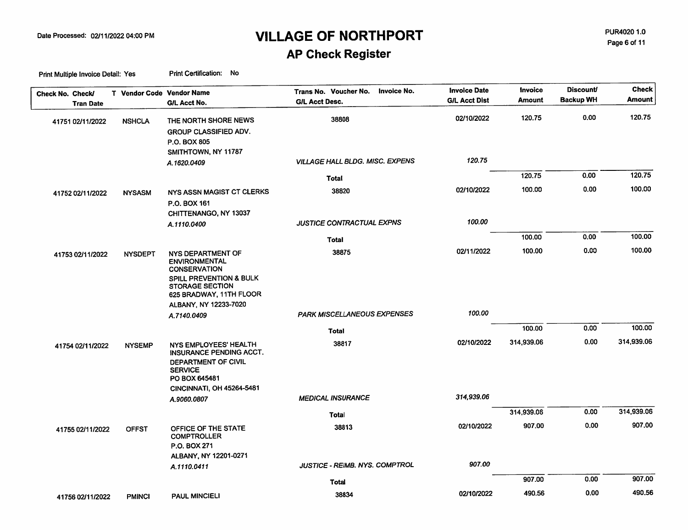PUR4020 1.0 Page 6 of 11

### **AP Check Register**

| Check No. Check/<br><b>Tran Date</b> | T Vendor Code Vendor Name | G/L Acct No.                                                                                                                                                                         | Trans No. Voucher No.<br><b>Invoice No.</b><br><b>G/L Acct Desc.</b> | <b>Invoice Date</b><br><b>G/L Acct Dist</b> | Invoice<br><b>Amount</b> | <b>Discount</b><br><b>Backup WH</b> | <b>Check</b><br>Amount |
|--------------------------------------|---------------------------|--------------------------------------------------------------------------------------------------------------------------------------------------------------------------------------|----------------------------------------------------------------------|---------------------------------------------|--------------------------|-------------------------------------|------------------------|
| 41751 02/11/2022                     | <b>NSHCLA</b>             | THE NORTH SHORE NEWS<br><b>GROUP CLASSIFIED ADV.</b><br>P.O. BOX 805                                                                                                                 | 38808                                                                | 02/10/2022                                  | 120.75                   | 0.00                                | 120.75                 |
|                                      |                           | SMITHTOWN, NY 11787<br>A.1620.0409                                                                                                                                                   | <b>VILLAGE HALL BLDG. MISC. EXPENS</b>                               | 120.75                                      |                          |                                     |                        |
|                                      |                           |                                                                                                                                                                                      | Total                                                                |                                             | 120.75                   | 0.00                                | 120.75                 |
| 41752 02/11/2022                     | <b>NYSASM</b>             | NYS ASSN MAGIST CT CLERKS<br>P.O. BOX 161                                                                                                                                            | 38820                                                                | 02/10/2022                                  | 100.00                   | 0.00                                | 100.00                 |
|                                      |                           | CHITTENANGO, NY 13037<br>A.1110.0400                                                                                                                                                 | <b>JUSTICE CONTRACTUAL EXPNS</b>                                     | 100.00                                      |                          |                                     |                        |
|                                      |                           |                                                                                                                                                                                      | Total                                                                |                                             | 100.00                   | 0.00                                | 100.00                 |
| 41753 02/11/2022                     | <b>NYSDEPT</b>            | NYS DEPARTMENT OF<br><b>ENVIRONMENTAL</b><br><b>CONSERVATION</b><br><b>SPILL PREVENTION &amp; BULK</b><br><b>STORAGE SECTION</b><br>625 BRADWAY, 11TH FLOOR<br>ALBANY, NY 12233-7020 | 38875                                                                | 02/11/2022                                  | 100.00                   | 0.00                                | 100.00                 |
|                                      |                           | A.7140.0409                                                                                                                                                                          | PARK MISCELLANEOUS EXPENSES                                          | 100.00                                      |                          |                                     |                        |
|                                      |                           |                                                                                                                                                                                      | <b>Total</b>                                                         |                                             | 100.00                   | 0.00                                | 100.00                 |
| 41754 02/11/2022                     | <b>NYSEMP</b>             | NYS EMPLOYEES' HEALTH<br>INSURANCE PENDING ACCT.<br>DEPARTMENT OF CIVIL<br><b>SERVICE</b><br>PO BOX 645481<br><b>CINCINNATI, OH 45264-5481</b>                                       | 38817                                                                | 02/10/2022                                  | 314,939.06               | 0.00                                | 314,939.06             |
|                                      |                           | A.9060.0807                                                                                                                                                                          | <b>MEDICAL INSURANCE</b>                                             | 314,939.06                                  |                          |                                     |                        |
|                                      |                           |                                                                                                                                                                                      | <b>Total</b>                                                         |                                             | 314,939.06               | 0.00                                | 314,939.06             |
| 41755 02/11/2022                     | <b>OFFST</b>              | OFFICE OF THE STATE<br><b>COMPTROLLER</b><br>P.O. BOX 271<br>ALBANY, NY 12201-0271                                                                                                   | 38813                                                                | 02/10/2022                                  | 907,00                   | 0.00                                | 907.00                 |
|                                      |                           | A.1110.0411                                                                                                                                                                          | <b>JUSTICE - REIMB. NYS. COMPTROL</b>                                | 907.00                                      |                          |                                     |                        |
|                                      |                           |                                                                                                                                                                                      | Total                                                                |                                             | 907.00                   | 0.00                                | 907.00                 |
| 41756 02/11/2022                     | <b>PMINCI</b>             | <b>PAUL MINCIELI</b>                                                                                                                                                                 | 38834                                                                | 02/10/2022                                  | 490.56                   | 0.00                                | 490.56                 |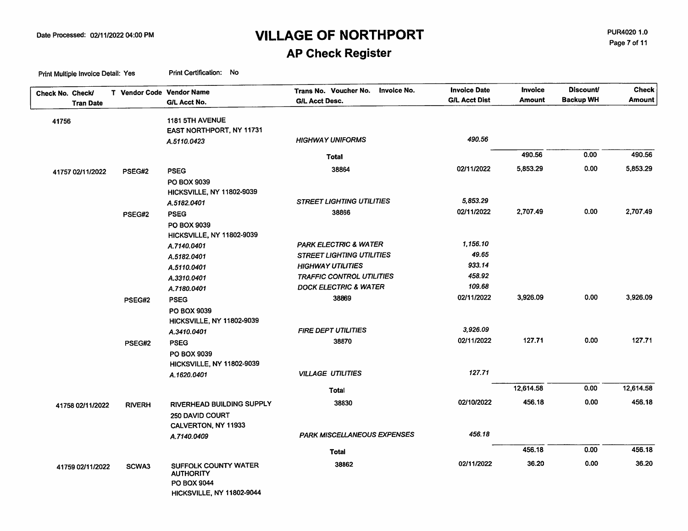PUR4020 1.0 Page 7 of 11

# **AP Check Register**

| Check No. Check/ | T Vendor Code Vendor Name | G/L Acct No.              | Trans No. Voucher No.<br>Invoice No.<br><b>G/L Acct Desc.</b> | <b>Invoice Date</b><br><b>G/L Acct Dist</b> | <b>Invoice</b><br>Amount | <b>Discount/</b><br><b>Backup WH</b> | <b>Check</b><br>Amount |
|------------------|---------------------------|---------------------------|---------------------------------------------------------------|---------------------------------------------|--------------------------|--------------------------------------|------------------------|
| <b>Tran Date</b> |                           |                           |                                                               |                                             |                          |                                      |                        |
| 41756            |                           | 1181 5TH AVENUE           |                                                               |                                             |                          |                                      |                        |
|                  |                           | EAST NORTHPORT, NY 11731  |                                                               |                                             |                          |                                      |                        |
|                  |                           | A.5110.0423               | <b>HIGHWAY UNIFORMS</b>                                       | 490.56                                      |                          |                                      |                        |
|                  |                           |                           | <b>Total</b>                                                  |                                             | 490.56                   | 0.00                                 | 490.56                 |
| 41757 02/11/2022 | PSEG#2                    | <b>PSEG</b>               | 38864                                                         | 02/11/2022                                  | 5,853.29                 | 0.00                                 | 5,853.29               |
|                  |                           | PO BOX 9039               |                                                               |                                             |                          |                                      |                        |
|                  |                           | HICKSVILLE, NY 11802-9039 |                                                               |                                             |                          |                                      |                        |
|                  |                           | A.5182.0401               | <b>STREET LIGHTING UTILITIES</b>                              | 5,853.29                                    |                          |                                      |                        |
|                  | PSEG#2                    | <b>PSEG</b>               | 38866                                                         | 02/11/2022                                  | 2,707.49                 | 0.00                                 | 2,707.49               |
|                  |                           | PO BOX 9039               |                                                               |                                             |                          |                                      |                        |
|                  |                           | HICKSVILLE, NY 11802-9039 |                                                               |                                             |                          |                                      |                        |
|                  |                           | A.7140.0401               | <b>PARK ELECTRIC &amp; WATER</b>                              | 1,156.10                                    |                          |                                      |                        |
|                  |                           | A.5182.0401               | <b>STREET LIGHTING UTILITIES</b>                              | 49.65                                       |                          |                                      |                        |
|                  |                           | A.5110.0401               | <b>HIGHWAY UTILITIES</b>                                      | 933.14                                      |                          |                                      |                        |
|                  |                           | A.3310.0401               | <b>TRAFFIC CONTROL UTILITIES</b>                              | 458.92                                      |                          |                                      |                        |
|                  |                           | A.7180.0401               | <b>DOCK ELECTRIC &amp; WATER</b>                              | 109.68                                      |                          |                                      |                        |
|                  | PSEG#2                    | <b>PSEG</b>               | 38869                                                         | 02/11/2022                                  | 3,926.09                 | 0.00                                 | 3,926.09               |
|                  |                           | PO BOX 9039               |                                                               |                                             |                          |                                      |                        |
|                  |                           | HICKSVILLE, NY 11802-9039 |                                                               |                                             |                          |                                      |                        |
|                  |                           | A.3410.0401               | <b>FIRE DEPT UTILITIES</b>                                    | 3,926.09                                    |                          |                                      |                        |
|                  | PSEG#2                    | <b>PSEG</b>               | 38870                                                         | 02/11/2022                                  | 127.71                   | 0.00                                 | 127.71                 |
|                  |                           | <b>PO BOX 9039</b>        |                                                               |                                             |                          |                                      |                        |
|                  |                           | HICKSVILLE, NY 11802-9039 |                                                               |                                             |                          |                                      |                        |
|                  |                           | A.1620.0401               | <b>VILLAGE UTILITIES</b>                                      | 127.71                                      |                          |                                      |                        |
|                  |                           |                           | Total                                                         |                                             | 12,614.58                | 0.00                                 | 12,614.58              |
| 41758 02/11/2022 | <b>RIVERH</b>             | RIVERHEAD BUILDING SUPPLY | 38830                                                         | 02/10/2022                                  | 456.18                   | 0.00                                 | 456.18                 |
|                  |                           | 250 DAVID COURT           |                                                               |                                             |                          |                                      |                        |
|                  |                           | CALVERTON, NY 11933       |                                                               |                                             |                          |                                      |                        |
|                  |                           | A.7140.0409               | <b>PARK MISCELLANEOUS EXPENSES</b>                            | 456.18                                      |                          |                                      |                        |
|                  |                           |                           | Total                                                         |                                             | 456.18                   | 0.00                                 | 456.18                 |
| 41759 02/11/2022 | SCWA3                     | SUFFOLK COUNTY WATER      | 38862                                                         | 02/11/2022                                  | 36.20                    | 0.00                                 | 36.20                  |
|                  |                           | <b>AUTHORITY</b>          |                                                               |                                             |                          |                                      |                        |
|                  |                           | PO BOX 9044               |                                                               |                                             |                          |                                      |                        |
|                  |                           | HICKSVILLE, NY 11802-9044 |                                                               |                                             |                          |                                      |                        |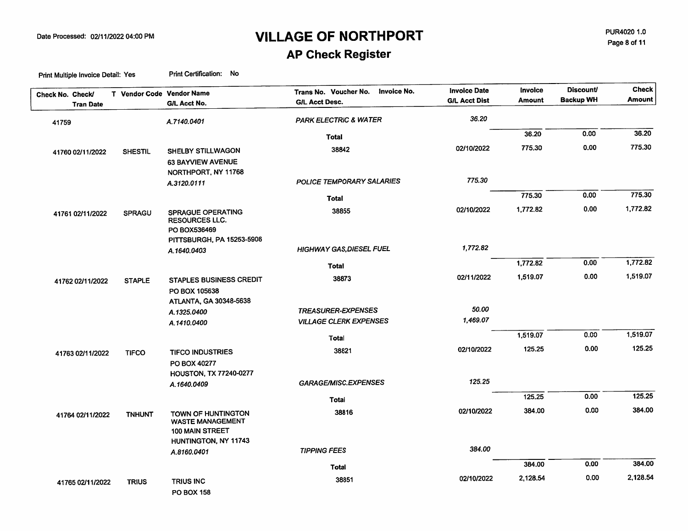PUR4020 1.0 Page 8 of 11

### **AP Check Register**

| Check No. Check/ | <b>Tran Date</b> |                | T Vendor Code Vendor Name<br><b>G/L Acct No.</b>           | <b>Invoice No.</b><br>Trans No. Voucher No.<br><b>G/L Acct Desc.</b> | <b>Invoice Date</b><br><b>G/L Acct Dist</b> | Invoice<br><b>Amount</b> | <b>Discount/</b><br><b>Backup WH</b> | <b>Check</b><br><b>Amount</b> |
|------------------|------------------|----------------|------------------------------------------------------------|----------------------------------------------------------------------|---------------------------------------------|--------------------------|--------------------------------------|-------------------------------|
|                  |                  |                |                                                            |                                                                      |                                             |                          |                                      |                               |
| 41759            |                  |                | A.7140.0401                                                | <b>PARK ELECTRIC &amp; WATER</b>                                     | 36.20                                       |                          |                                      |                               |
|                  |                  |                |                                                            | Total                                                                |                                             | 36.20                    | 0.00                                 | 36.20                         |
|                  | 41760 02/11/2022 | <b>SHESTIL</b> | SHELBY STILLWAGON                                          | 38842                                                                | 02/10/2022                                  | 775.30                   | 0.00                                 | 775.30                        |
|                  |                  |                | 63 BAYVIEW AVENUE                                          |                                                                      |                                             |                          |                                      |                               |
|                  |                  |                | NORTHPORT, NY 11768                                        |                                                                      |                                             |                          |                                      |                               |
|                  |                  |                | A.3120.0111                                                | POLICE TEMPORARY SALARIES                                            | 775.30                                      |                          |                                      |                               |
|                  |                  |                |                                                            | Total                                                                |                                             | 775.30                   | 0.00                                 | 775.30                        |
|                  | 41761 02/11/2022 | <b>SPRAGU</b>  | <b>SPRAGUE OPERATING</b><br>RESOURCES LLC.<br>PO BOX536469 | 38855                                                                | 02/10/2022                                  | 1,772.82                 | 0.00                                 | 1,772.82                      |
|                  |                  |                | PITTSBURGH, PA 15253-5906<br>A.1640.0403                   | <b>HIGHWAY GAS, DIESEL FUEL</b>                                      | 1,772.82                                    |                          |                                      |                               |
|                  |                  |                |                                                            | Total                                                                |                                             | 1,772.82                 | 0.00                                 | 1,772.82                      |
|                  | 41762 02/11/2022 | <b>STAPLE</b>  | <b>STAPLES BUSINESS CREDIT</b><br>PO BOX 105638            | 38873                                                                | 02/11/2022                                  | 1,519.07                 | 0.00                                 | 1,519.07                      |
|                  |                  |                | ATLANTA, GA 30348-5638                                     |                                                                      |                                             |                          |                                      |                               |
|                  |                  |                | A.1325.0400                                                | <b>TREASURER-EXPENSES</b>                                            | 50.00                                       |                          |                                      |                               |
|                  |                  |                | A.1410.0400                                                | <b>VILLAGE CLERK EXPENSES</b>                                        | 1,469.07                                    |                          |                                      |                               |
|                  |                  |                |                                                            | <b>Total</b>                                                         |                                             | 1,519.07                 | 0.00                                 | 1,519.07                      |
|                  | 41763 02/11/2022 | <b>TIFCO</b>   | <b>TIFCO INDUSTRIES</b>                                    | 38821                                                                | 02/10/2022                                  | 125.25                   | 0.00                                 | 125.25                        |
|                  |                  |                | PO BOX 40277                                               |                                                                      |                                             |                          |                                      |                               |
|                  |                  |                | HOUSTON, TX 77240-0277                                     |                                                                      |                                             |                          |                                      |                               |
|                  |                  |                | A.1640.0409                                                | <b>GARAGE/MISC.EXPENSES</b>                                          | 125.25                                      |                          |                                      |                               |
|                  |                  |                |                                                            | Total                                                                |                                             | 125.25                   | 0.00                                 | 125.25                        |
|                  | 41764 02/11/2022 | <b>TNHUNT</b>  | TOWN OF HUNTINGTON<br><b>WASTE MANAGEMENT</b>              | 38816                                                                | 02/10/2022                                  | 384.00                   | 0.00                                 | 384.00                        |
|                  |                  |                | 100 MAIN STREET                                            |                                                                      |                                             |                          |                                      |                               |
|                  |                  |                | HUNTINGTON, NY 11743                                       | <b>TIPPING FEES</b>                                                  | 384.00                                      |                          |                                      |                               |
|                  |                  |                | A.8160.0401                                                |                                                                      |                                             | 384.00                   | 0.00                                 | 384.00                        |
|                  |                  |                |                                                            | <b>Total</b>                                                         |                                             |                          |                                      |                               |
|                  | 41765 02/11/2022 | <b>TRIUS</b>   | <b>TRIUS INC</b><br><b>PO BOX 158</b>                      | 38851                                                                | 02/10/2022                                  | 2,128.54                 | 0.00                                 | 2,128.54                      |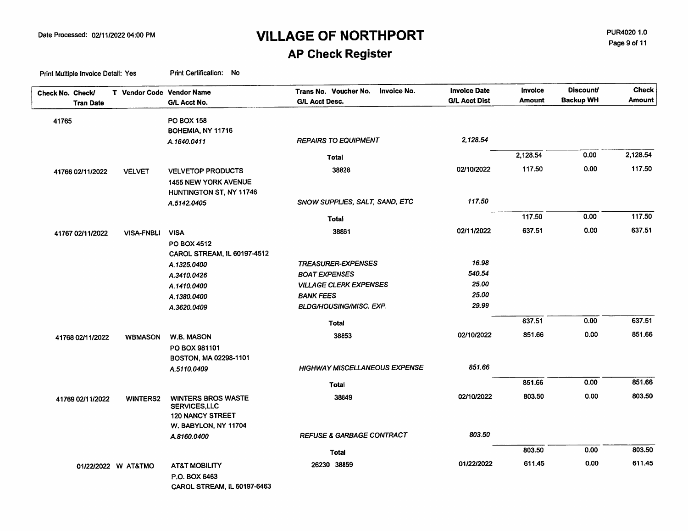PUR4020 1.0 Page 9 of 11

# **AP Check Register**

| Check No. Check/<br><b>Tran Date</b> | T Vendor Code Vendor Name | G/L Acct No.                | Trans No. Voucher No.<br>Invoice No.<br><b>G/L Acct Desc.</b> | <b>Invoice Date</b><br><b>G/L Acct Dist</b> | <b>Invoice</b><br><b>Amount</b> | <b>Discount/</b><br><b>Backup WH</b> | <b>Check</b><br><b>Amount</b> |
|--------------------------------------|---------------------------|-----------------------------|---------------------------------------------------------------|---------------------------------------------|---------------------------------|--------------------------------------|-------------------------------|
|                                      |                           |                             |                                                               |                                             |                                 |                                      |                               |
| 41765                                |                           | PO BOX 158                  |                                                               |                                             |                                 |                                      |                               |
|                                      |                           | BOHEMIA, NY 11716           |                                                               | 2.128.54                                    |                                 |                                      |                               |
|                                      |                           | A.1640.0411                 | <b>REPAIRS TO EQUIPMENT</b>                                   |                                             |                                 |                                      |                               |
|                                      |                           |                             | <b>Total</b>                                                  |                                             | 2,128.54                        | 0.00                                 | 2,128.54                      |
| 41766 02/11/2022                     | <b>VELVET</b>             | <b>VELVETOP PRODUCTS</b>    | 38828                                                         | 02/10/2022                                  | 117.50                          | 0.00                                 | 117.50                        |
|                                      |                           | <b>1455 NEW YORK AVENUE</b> |                                                               |                                             |                                 |                                      |                               |
|                                      |                           | HUNTINGTON ST, NY 11746     |                                                               |                                             |                                 |                                      |                               |
|                                      |                           | A.5142.0405                 | SNOW SUPPLIES, SALT, SAND, ETC                                | 117.50                                      |                                 |                                      |                               |
|                                      |                           |                             | Total                                                         |                                             | 117.50                          | 0.00                                 | 117.50                        |
|                                      |                           | <b>VISA</b>                 | 38861                                                         | 02/11/2022                                  | 637.51                          | 0.00                                 | 637.51                        |
| 41767 02/11/2022                     | <b>VISA-FNBLI</b>         | PO BOX 4512                 |                                                               |                                             |                                 |                                      |                               |
|                                      |                           | CAROL STREAM, IL 60197-4512 |                                                               |                                             |                                 |                                      |                               |
|                                      |                           | A.1325.0400                 | <b>TREASURER-EXPENSES</b>                                     | 16.98                                       |                                 |                                      |                               |
|                                      |                           | A.3410.0426                 | <b>BOAT EXPENSES</b>                                          | 540.54                                      |                                 |                                      |                               |
|                                      |                           | A.1410.0400                 | <b>VILLAGE CLERK EXPENSES</b>                                 | 25.00                                       |                                 |                                      |                               |
|                                      |                           | A.1380.0400                 | <b>BANK FEES</b>                                              | 25.00                                       |                                 |                                      |                               |
|                                      |                           | A.3620.0409                 | <b>BLDG/HOUSING/MISC. EXP.</b>                                | 29.99                                       |                                 |                                      |                               |
|                                      |                           |                             | <b>Total</b>                                                  |                                             | 637.51                          | 0.00                                 | 637.51                        |
|                                      |                           |                             |                                                               |                                             | 851.66                          | 0.00                                 | 851.66                        |
| 41768 02/11/2022                     | <b>WBMASON</b>            | W.B. MASON                  | 38853                                                         | 02/10/2022                                  |                                 |                                      |                               |
|                                      |                           | PO BOX 981101               |                                                               |                                             |                                 |                                      |                               |
|                                      |                           | BOSTON, MA 02298-1101       | <b>HIGHWAY MISCELLANEOUS EXPENSE</b>                          | 851.66                                      |                                 |                                      |                               |
|                                      |                           | A.5110.0409                 |                                                               |                                             |                                 |                                      |                               |
|                                      |                           |                             | Total                                                         |                                             | 851.66                          | 0.00                                 | 851.66                        |
| 41769 02/11/2022                     | <b>WINTERS2</b>           | <b>WINTERS BROS WASTE</b>   | 38849                                                         | 02/10/2022                                  | 803.50                          | 0.00                                 | 803.50                        |
|                                      |                           | SERVICES, LLC               |                                                               |                                             |                                 |                                      |                               |
|                                      |                           | <b>120 NANCY STREET</b>     |                                                               |                                             |                                 |                                      |                               |
|                                      |                           | W. BABYLON, NY 11704        | <b>REFUSE &amp; GARBAGE CONTRACT</b>                          | 803.50                                      |                                 |                                      |                               |
|                                      |                           | A.8160.0400                 |                                                               |                                             |                                 |                                      |                               |
|                                      |                           |                             | <b>Total</b>                                                  |                                             | 803.50                          | 0.00                                 | 803.50                        |
|                                      | 01/22/2022 W AT&TMO       | <b>AT&amp;T MOBILITY</b>    | 26230 38859                                                   | 01/22/2022                                  | 611.45                          | 0.00                                 | 611.45                        |
|                                      |                           | P.O. BOX 6463               |                                                               |                                             |                                 |                                      |                               |
|                                      |                           | CAROL STREAM, IL 60197-6463 |                                                               |                                             |                                 |                                      |                               |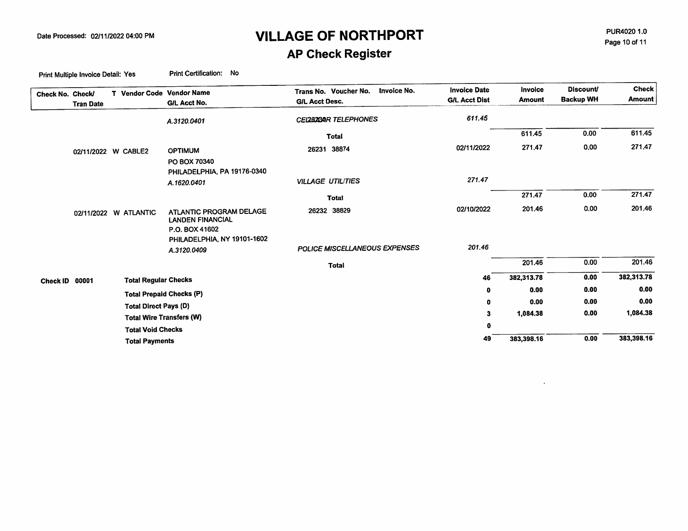PUR4020 1.0 Page 10 of 11

 $\ddot{\phantom{a}}$ 

# **AP Check Register**

| Check No. Check/ | <b>Tran Date</b>    |                              | T Vendor Code Vendor Name<br>G/L Acct No.                            | Invoice No.<br>Trans No. Voucher No.<br><b>G/L Acct Desc.</b> | <b>Invoice Date</b><br><b>G/L Acct Dist</b> | Invoice<br><b>Amount</b> | <b>Discount/</b><br><b>Backup WH</b> | <b>Check</b><br><b>Amount</b> |
|------------------|---------------------|------------------------------|----------------------------------------------------------------------|---------------------------------------------------------------|---------------------------------------------|--------------------------|--------------------------------------|-------------------------------|
|                  |                     |                              | A.3120.0401                                                          | CEL282BAR TELEPHONES                                          | 611.45                                      |                          |                                      |                               |
|                  |                     |                              |                                                                      | <b>Total</b>                                                  |                                             | 611.45                   | 0.00                                 | 611.45                        |
|                  | 02/11/2022 W CABLE2 |                              | <b>OPTIMUM</b><br>PO BOX 70340                                       | 26231 38874                                                   | 02/11/2022                                  | 271,47                   | 0.00                                 | 271.47                        |
|                  |                     |                              | PHILADELPHIA, PA 19176-0340<br>A.1620.0401                           | <b>VILLAGE UTILITIES</b>                                      | 271.47                                      |                          |                                      |                               |
|                  |                     |                              |                                                                      | <b>Total</b>                                                  |                                             | 271.47                   | 0.00                                 | 271.47                        |
|                  |                     | 02/11/2022 W ATLANTIC        | ATLANTIC PROGRAM DELAGE<br><b>LANDEN FINANCIAL</b><br>P.O. BOX 41602 | 26232 38829                                                   | 02/10/2022                                  | 201.46                   | 0.00                                 | 201.46                        |
|                  |                     |                              | PHILADELPHIA, NY 19101-1602<br>A.3120.0409                           | POLICE MISCELLANEOUS EXPENSES                                 | 201.46                                      |                          |                                      |                               |
|                  |                     |                              |                                                                      | <b>Total</b>                                                  |                                             | 201.46                   | 0.00                                 | 201.46                        |
| Check ID 00001   |                     | <b>Total Regular Checks</b>  |                                                                      |                                                               | 46                                          | 382,313.78               | 0.00                                 | 382,313.78                    |
|                  |                     |                              | <b>Total Prepaid Checks (P)</b>                                      |                                                               | 0                                           | 0.00                     | 0.00                                 | 0.00                          |
|                  |                     | <b>Total Direct Pays (D)</b> |                                                                      |                                                               | 0                                           | 0.00                     | 0.00                                 | 0.00                          |
|                  |                     |                              | <b>Total Wire Transfers (W)</b>                                      |                                                               | 3                                           | 1.084.38                 | 0.00                                 | 1,084.38                      |
|                  |                     | <b>Total Void Checks</b>     |                                                                      |                                                               | 0                                           |                          |                                      |                               |
|                  |                     | <b>Total Payments</b>        |                                                                      |                                                               | 49                                          | 383,398.16               | 0.00                                 | 383,398.16                    |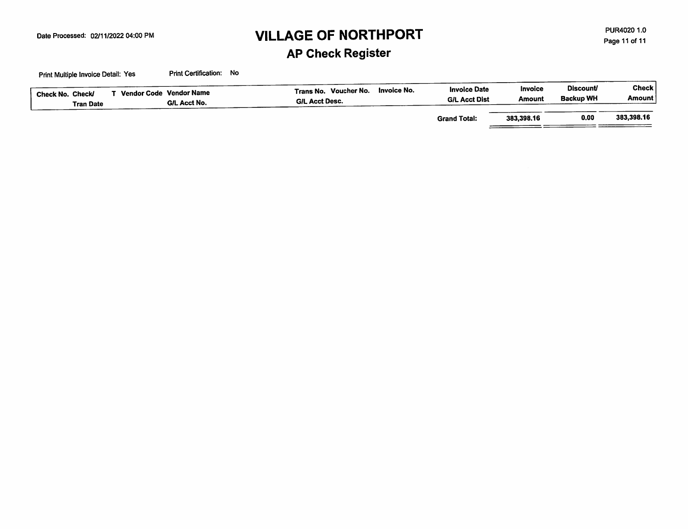PUR4020 1.0 Page 11 of 11

### **AP Check Register**

| Check No. Check/<br><b>Tran Date</b> | Vendor Code Vendor Name<br>G/L Acct No. | Invoice No.<br>Trans No. Voucher No.<br><b>GIL Acct Desc.</b> | <b>Invoice Date</b><br><b>G/L Acct Dist</b> | Invoice<br>Amount | <b>Discount</b><br><b>Backup WH</b> | Check  <br><b>Amount</b> |
|--------------------------------------|-----------------------------------------|---------------------------------------------------------------|---------------------------------------------|-------------------|-------------------------------------|--------------------------|
|                                      |                                         |                                                               | <b>Grand Total:</b>                         | 383.398.16        | 0.00                                | 383,398.16               |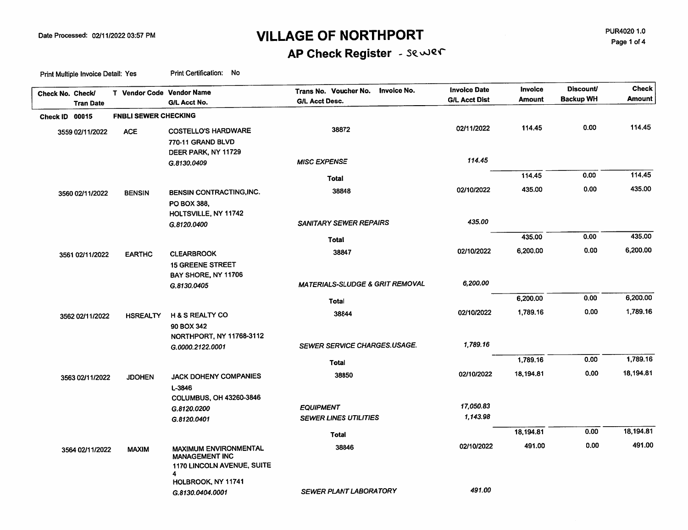PUR4020 1.0 Page 1 of 4

# AP Check Register - Sewer

| Check No. Check/ | <b>Tran Date</b> | T Vendor Code Vendor Name   | G/L Acct No.                                                                             | Trans No. Voucher No. Invoice No.<br><b>G/L Acct Desc.</b> | <b>Invoice Date</b><br><b>G/L Acct Dist</b> | <b>Invoice</b><br>Amount | <b>Discount</b><br><b>Backup WH</b> | <b>Check</b><br><b>Amount</b> |
|------------------|------------------|-----------------------------|------------------------------------------------------------------------------------------|------------------------------------------------------------|---------------------------------------------|--------------------------|-------------------------------------|-------------------------------|
| Check ID 00015   |                  | <b>FNBLI SEWER CHECKING</b> |                                                                                          |                                                            |                                             |                          |                                     |                               |
|                  | 3559 02/11/2022  | <b>ACE</b>                  | <b>COSTELLO'S HARDWARE</b><br>770-11 GRAND BLVD                                          | 38872                                                      | 02/11/2022                                  | 114.45                   | 0.00                                | 114.45                        |
|                  |                  |                             | DEER PARK, NY 11729<br>G.8130.0409                                                       | <b>MISC EXPENSE</b>                                        | 114.45                                      |                          |                                     |                               |
|                  |                  |                             |                                                                                          | Total                                                      |                                             | 114.45                   | 0.00                                | 114,45                        |
|                  | 3560 02/11/2022  | <b>BENSIN</b>               | BENSIN CONTRACTING, INC.<br>PO BOX 388,                                                  | 38848                                                      | 02/10/2022                                  | 435.00                   | 0.00                                | 435.00                        |
|                  |                  |                             | HOLTSVILLE, NY 11742<br>G.8120.0400                                                      | <b>SANITARY SEWER REPAIRS</b>                              | 435.00                                      |                          |                                     |                               |
|                  |                  |                             |                                                                                          | <b>Total</b>                                               |                                             | 435.00                   | 0.00                                | 435.00                        |
|                  | 3561 02/11/2022  | <b>EARTHC</b>               | <b>CLEARBROOK</b><br><b>15 GREENE STREET</b>                                             | 38847                                                      | 02/10/2022                                  | 6,200.00                 | 0.00                                | 6,200.00                      |
|                  |                  |                             | BAY SHORE, NY 11706<br>G.8130.0405                                                       | <b>MATERIALS-SLUDGE &amp; GRIT REMOVAL</b>                 | 6,200.00                                    |                          |                                     |                               |
|                  |                  |                             |                                                                                          | Total                                                      |                                             | 6,200.00                 | 0.00                                | 6,200.00                      |
|                  | 3562 02/11/2022  | <b>HSREALTY</b>             | <b>H &amp; S REALTY CO</b><br>90 BOX 342                                                 | 38844                                                      | 02/10/2022                                  | 1,789.16                 | 0.00                                | 1,789.16                      |
|                  |                  |                             | NORTHPORT, NY 11768-3112<br>G.0000.2122.0001                                             | <b>SEWER SERVICE CHARGES.USAGE.</b>                        | 1,789.16                                    |                          |                                     |                               |
|                  |                  |                             |                                                                                          | <b>Total</b>                                               |                                             | 1,789.16                 | 0.00                                | 1,789.16                      |
|                  | 3563 02/11/2022  | <b>JDOHEN</b>               | <b>JACK DOHENY COMPANIES</b><br>L-3846                                                   | 38850                                                      | 02/10/2022                                  | 18,194.81                | 0.00                                | 18,194.81                     |
|                  |                  |                             | <b>COLUMBUS, OH 43260-3846</b><br>G.8120.0200                                            | <b>EQUIPMENT</b>                                           | 17,050.83                                   |                          |                                     |                               |
|                  |                  |                             | G.8120.0401                                                                              | <b>SEWER LINES UTILITIES</b>                               | 1,143.98                                    |                          |                                     |                               |
|                  |                  |                             |                                                                                          | Total                                                      |                                             | 18,194.81                | 0.00                                | 18,194.81                     |
|                  | 3564 02/11/2022  | <b>MAXIM</b>                | <b>MAXIMUM ENVIRONMENTAL</b><br><b>MANAGEMENT INC</b><br>1170 LINCOLN AVENUE, SUITE<br>4 | 38846                                                      | 02/10/2022                                  | 491.00                   | 0.00                                | 491.00                        |
|                  |                  |                             | HOLBROOK, NY 11741<br>G.8130.0404.0001                                                   | <b>SEWER PLANT LABORATORY</b>                              | 491.00                                      |                          |                                     |                               |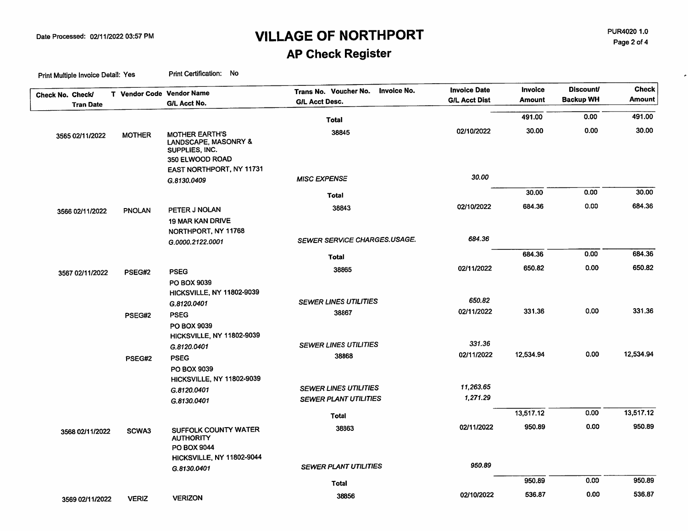PUR4020 1.0 Page 2 of 4

 $\epsilon$ 

# **AP Check Register**

|                                      | T Vendor Code Vendor Name |                                                                                                                | Invoice No.<br>Trans No. Voucher No.                         | <b>Invoice Date</b>   | <b>Invoice</b> | <b>Discount/</b> | <b>Check</b> |
|--------------------------------------|---------------------------|----------------------------------------------------------------------------------------------------------------|--------------------------------------------------------------|-----------------------|----------------|------------------|--------------|
| Check No. Check/<br><b>Tran Date</b> |                           | G/L Acct No.                                                                                                   | <b>G/L Acct Desc.</b>                                        | <b>G/L Acct Dist</b>  | <b>Amount</b>  | <b>Backup WH</b> | Amount       |
|                                      |                           |                                                                                                                |                                                              |                       |                |                  | 491.00       |
|                                      |                           |                                                                                                                | Total                                                        |                       | 491.00         | 0.00             |              |
| 3565 02/11/2022                      | <b>MOTHER</b>             | <b>MOTHER EARTH'S</b><br>LANDSCAPE, MASONRY &<br>SUPPLIES, INC.<br>350 ELWOOD ROAD<br>EAST NORTHPORT, NY 11731 | 38845                                                        | 02/10/2022            | 30.00          | 0.00             | 30.00        |
|                                      |                           | G.8130.0409                                                                                                    | <b>MISC EXPENSE</b>                                          | 30.00                 |                |                  |              |
|                                      |                           |                                                                                                                | <b>Total</b>                                                 |                       | 30.00          | 0.00             | 30.00        |
| 3566 02/11/2022                      | <b>PNOLAN</b>             | PETER J NOLAN<br><b>19 MAR KAN DRIVE</b><br>NORTHPORT, NY 11768                                                | 38843                                                        | 02/10/2022            | 684.36         | 0.00             | 684.36       |
|                                      |                           | G.0000.2122.0001                                                                                               | SEWER SERVICE CHARGES.USAGE.                                 | 684.36                |                |                  |              |
|                                      |                           |                                                                                                                | Total                                                        |                       | 684.36         | 0.00             | 684.36       |
| 3567 02/11/2022                      | PSEG#2                    | <b>PSEG</b><br><b>PO BOX 9039</b><br>HICKSVILLE, NY 11802-9039                                                 | 38865                                                        | 02/11/2022            | 650.82         | 0.00             | 650.82       |
|                                      |                           | G.8120.0401                                                                                                    | <b>SEWER LINES UTILITIES</b>                                 | 650.82                |                |                  |              |
|                                      | PSEG#2                    | <b>PSEG</b><br>PO BOX 9039                                                                                     | 38867                                                        | 02/11/2022            | 331.36         | 0.00             | 331.36       |
|                                      |                           | <b>HICKSVILLE, NY 11802-9039</b><br>G.8120.0401                                                                | <b>SEWER LINES UTILITIES</b>                                 | 331.36                | 12,534.94      | 0.00             | 12,534.94    |
|                                      | PSEG#2                    | <b>PSEG</b><br>PO BOX 9039<br>HICKSVILLE, NY 11802-9039                                                        | 38868                                                        | 02/11/2022            |                |                  |              |
|                                      |                           | G.8120.0401<br>G.8130.0401                                                                                     | <b>SEWER LINES UTILITIES</b><br><b>SEWER PLANT UTILITIES</b> | 11,263.65<br>1,271.29 |                |                  |              |
|                                      |                           |                                                                                                                | Total                                                        |                       | 13,517.12      | 0.00             | 13,517.12    |
| 3568 02/11/2022                      | SCWA3                     | <b>SUFFOLK COUNTY WATER</b><br><b>AUTHORITY</b><br>PO BOX 9044                                                 | 38863                                                        | 02/11/2022            | 950.89         | 0.00             | 950.89       |
|                                      |                           | HICKSVILLE, NY 11802-9044                                                                                      |                                                              |                       |                |                  |              |
|                                      |                           | G.8130.0401                                                                                                    | <b>SEWER PLANT UTILITIES</b>                                 | 950.89                |                |                  |              |
|                                      |                           |                                                                                                                | <b>Total</b>                                                 |                       | 950.89         | 0.00             | 950.89       |
| 3569 02/11/2022                      | <b>VERIZ</b>              | <b>VERIZON</b>                                                                                                 | 38856                                                        | 02/10/2022            | 536.87         | 0.00             | 536.87       |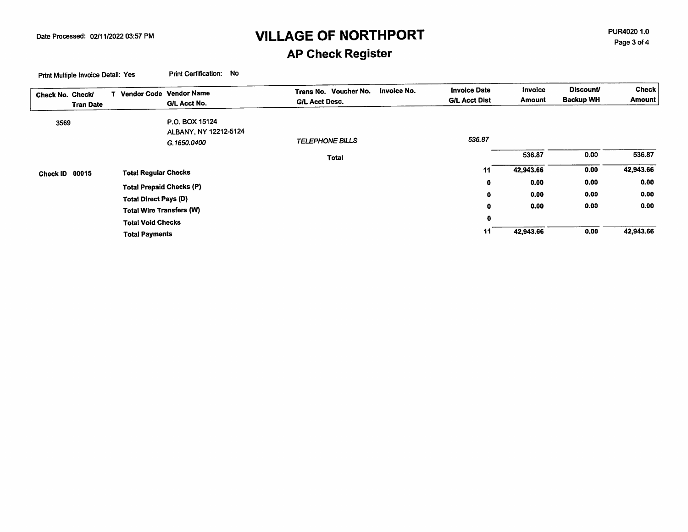PUR4020 1.0 Page 3 of 4

### **AP Check Register**

| Check No. Check/ | <b>Tran Date</b> |                                                                 | Vendor Code Vendor Name<br>G/L Acct No.                | Invoice No.<br>Trans No. Voucher No.<br><b>G/L Acct Desc.</b> | <b>Invoice Date</b><br><b>G/L Acct Dist</b> | Invoice<br>Amount | <b>Discount/</b><br><b>Backup WH</b> | <b>Check</b><br><b>Amount</b> |
|------------------|------------------|-----------------------------------------------------------------|--------------------------------------------------------|---------------------------------------------------------------|---------------------------------------------|-------------------|--------------------------------------|-------------------------------|
|                  |                  |                                                                 |                                                        |                                                               |                                             |                   |                                      |                               |
| 3569             |                  |                                                                 | P.O. BOX 15124<br>ALBANY, NY 12212-5124<br>G.1650.0400 | <b>TELEPHONE BILLS</b>                                        | 536.87                                      |                   |                                      |                               |
|                  |                  |                                                                 |                                                        | <b>Total</b>                                                  |                                             | 536.87            | 0.00                                 | 536.87                        |
| Check ID         | 00015            | <b>Total Regular Checks</b>                                     |                                                        |                                                               | 11                                          | 42,943.66         | 0.00                                 | 42,943.66                     |
|                  |                  |                                                                 |                                                        |                                                               | $\bullet$                                   | 0.00              | 0.00                                 | 0.00                          |
|                  |                  | <b>Total Prepaid Checks (P)</b><br><b>Total Direct Pays (D)</b> |                                                        |                                                               | 0                                           | 0.00              | 0.00                                 | 0.00                          |
|                  |                  |                                                                 |                                                        |                                                               | 0                                           | 0.00              | 0.00                                 | 0.00                          |
|                  |                  | <b>Total Wire Transfers (W)</b>                                 |                                                        |                                                               | 0                                           |                   |                                      |                               |
|                  |                  | <b>Total Void Checks</b>                                        |                                                        |                                                               |                                             |                   |                                      |                               |
|                  |                  | <b>Total Payments</b>                                           |                                                        |                                                               | 11                                          | 42,943.66         | 0.00                                 | 42,943.66                     |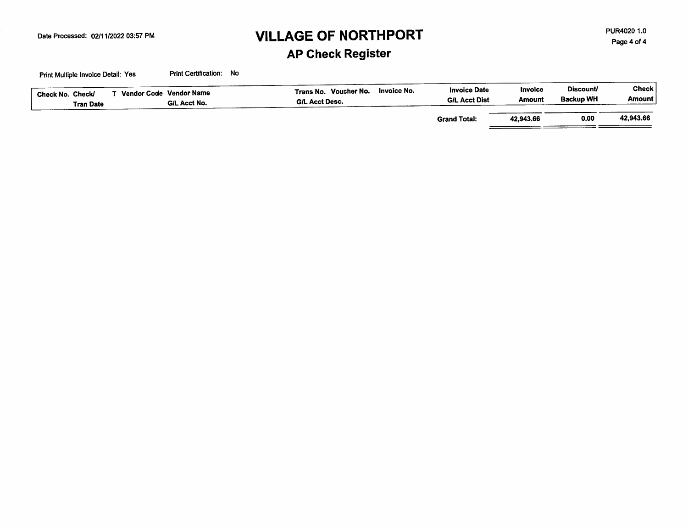PUR4020 1.0 Page 4 of 4

# **AP Check Register**

| Check No. Check/<br><b>Tran Date</b> | Vendor Code Vendor Name<br>G/L Acct No. | Invoice No.<br>Trans No. Voucher No.<br><b>G/L Acct Desc.</b> | <b>Invoice Date</b><br><b>G/L Acct Dist</b> | Invoice<br>Amount | <b>Discount</b><br>Backup WH | Check !<br>Amount |
|--------------------------------------|-----------------------------------------|---------------------------------------------------------------|---------------------------------------------|-------------------|------------------------------|-------------------|
|                                      |                                         |                                                               | <b>Grand Total:</b>                         | 42,943.66         | 0.00                         | 42.943.66         |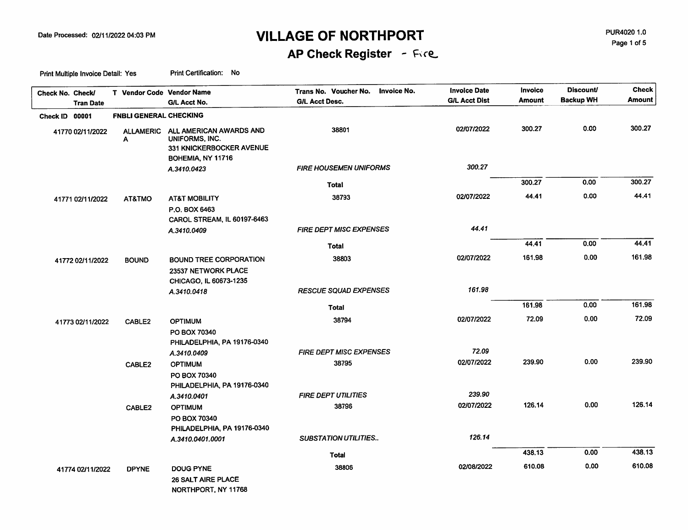PUR4020 1.0 Page 1 of 5

# AP Check Register - Fire

| Check No. Check/ | <b>Tran Date</b> | T Vendor Code Vendor Name     | G/L Acct No.                                                                               | <b>Invoice No.</b><br>Trans No. Voucher No.<br><b>G/L Acct Desc.</b> | <b>Invoice Date</b><br><b>G/L Acct Dist</b> | Invoice<br><b>Amount</b> | <b>Discount/</b><br><b>Backup WH</b> | <b>Check</b><br><b>Amount</b> |
|------------------|------------------|-------------------------------|--------------------------------------------------------------------------------------------|----------------------------------------------------------------------|---------------------------------------------|--------------------------|--------------------------------------|-------------------------------|
| Check ID 00001   |                  | <b>FNBLI GENERAL CHECKING</b> |                                                                                            |                                                                      |                                             |                          |                                      |                               |
|                  | 41770 02/11/2022 | <b>ALLAMERIC</b><br>Α         | ALL AMERICAN AWARDS AND<br>UNIFORMS, INC.<br>331 KNICKERBOCKER AVENUE<br>BOHEMIA, NY 11716 | 38801                                                                | 02/07/2022                                  | 300.27                   | 0.00                                 | 300.27                        |
|                  |                  |                               | A.3410.0423                                                                                | <b>FIRE HOUSEMEN UNIFORMS</b>                                        | 300.27                                      |                          |                                      |                               |
|                  |                  |                               |                                                                                            | Total                                                                |                                             | 300.27                   | 0.00                                 | 300.27                        |
|                  | 41771 02/11/2022 | AT&TMO                        | <b>AT&amp;T MOBILITY</b><br>P.O. BOX 6463                                                  | 38793                                                                | 02/07/2022                                  | 44.41                    | 0.00                                 | 44.41                         |
|                  |                  |                               | CAROL STREAM, IL 60197-6463<br>A.3410.0409                                                 | <b>FIRE DEPT MISC EXPENSES</b>                                       | 44.41                                       |                          |                                      |                               |
|                  |                  |                               |                                                                                            | Total                                                                |                                             | 44.41                    | 0.00                                 | 44.41                         |
|                  | 41772 02/11/2022 | <b>BOUND</b>                  | <b>BOUND TREE CORPORATION</b><br>23537 NETWORK PLACE                                       | 38803                                                                | 02/07/2022                                  | 161.98                   | 0.00                                 | 161.98                        |
|                  |                  |                               | CHICAGO, IL 60673-1235<br>A.3410.0418                                                      | <b>RESCUE SQUAD EXPENSES</b>                                         | 161.98                                      |                          |                                      |                               |
|                  |                  |                               |                                                                                            | <b>Total</b>                                                         |                                             | 161.98                   | 0.00                                 | 161.98                        |
|                  | 41773 02/11/2022 | CABLE2                        | <b>OPTIMUM</b><br>PO BOX 70340<br>PHILADELPHIA, PA 19176-0340                              | 38794                                                                | 02/07/2022                                  | 72.09                    | 0.00                                 | 72.09                         |
|                  |                  |                               | A.3410.0409                                                                                | <b>FIRE DEPT MISC EXPENSES</b>                                       | 72.09                                       |                          |                                      |                               |
|                  |                  | CABLE2                        | <b>OPTIMUM</b><br>PO BOX 70340<br>PHILADELPHIA, PA 19176-0340                              | 38795                                                                | 02/07/2022                                  | 239.90                   | 0.00                                 | 239.90                        |
|                  |                  |                               | A.3410.0401                                                                                | <b>FIRE DEPT UTILITIES</b>                                           | 239.90                                      |                          |                                      |                               |
|                  |                  | CABLE2                        | <b>OPTIMUM</b><br>PO BOX 70340<br>PHILADELPHIA, PA 19176-0340                              | 38796                                                                | 02/07/2022                                  | 126.14                   | 0.00                                 | 126.14                        |
|                  |                  |                               | A.3410.0401.0001                                                                           | <b>SUBSTATION UTILITIES</b>                                          | 126.14                                      |                          |                                      |                               |
|                  |                  |                               |                                                                                            | Total                                                                |                                             | 438.13                   | 0.00                                 | 438.13                        |
|                  | 41774 02/11/2022 | <b>DPYNE</b>                  | <b>DOUG PYNE</b><br>26 SALT AIRE PLACE<br>NORTHPORT, NY 11768                              | 38806                                                                | 02/08/2022                                  | 610.08                   | 0.00                                 | 610.08                        |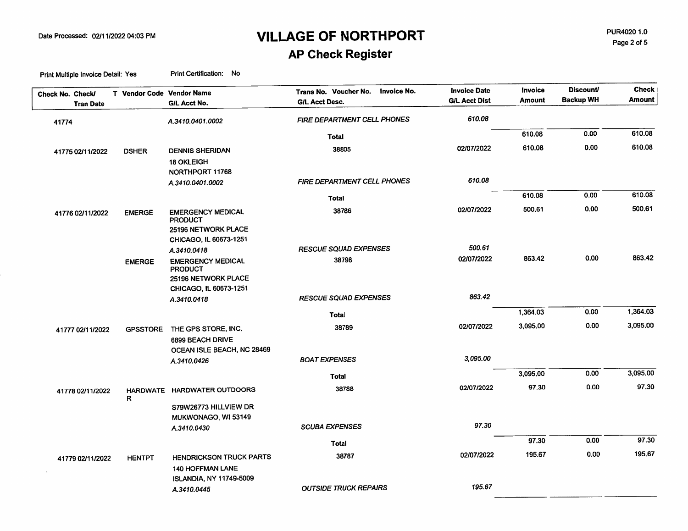**AP Check Register** 

| <b>Backup WH</b><br><b>G/L Acct Dist</b><br>Amount<br><b>G/L Acct Desc.</b><br>G/L Acct No.<br><b>Tran Date</b><br>610.08<br>FIRE DEPARTMENT CELL PHONES<br>A.3410.0401.0002<br>41774<br>0.00<br>610.08<br><b>Total</b><br>0.00<br>610.08<br>02/07/2022<br>38805<br><b>DENNIS SHERIDAN</b><br><b>DSHER</b><br>41775 02/11/2022<br><b>18 OKLEIGH</b><br>NORTHPORT 11768<br>610.08<br><b>FIRE DEPARTMENT CELL PHONES</b><br>A.3410.0401.0002<br>0.00<br>610.08<br><b>Total</b><br>0.00<br>500.61<br>02/07/2022<br>38786<br><b>EMERGENCY MEDICAL</b><br><b>EMERGE</b><br>41776 02/11/2022<br><b>PRODUCT</b><br>25196 NETWORK PLACE<br>CHICAGO, IL 60673-1251<br>500.61<br><b>RESCUE SQUAD EXPENSES</b><br>A.3410.0418<br>0.00<br>863.42<br>02/07/2022<br>38798<br><b>EMERGENCY MEDICAL</b><br><b>EMERGE</b><br><b>PRODUCT</b><br>25196 NETWORK PLACE<br>CHICAGO, IL 60673-1251<br>863.42<br><b>RESCUE SQUAD EXPENSES</b><br>A.3410.0418<br>0.00<br>1,364.03<br>Total<br>0.00<br>3,095.00<br>02/07/2022<br>38789<br>THE GPS STORE, INC.<br><b>GPSSTORE</b><br>41777 02/11/2022<br>6899 BEACH DRIVE<br>OCEAN ISLE BEACH, NC 28469 |  |                      |          |  | <b>Amount</b><br>610.08<br>610.08 |
|------------------------------------------------------------------------------------------------------------------------------------------------------------------------------------------------------------------------------------------------------------------------------------------------------------------------------------------------------------------------------------------------------------------------------------------------------------------------------------------------------------------------------------------------------------------------------------------------------------------------------------------------------------------------------------------------------------------------------------------------------------------------------------------------------------------------------------------------------------------------------------------------------------------------------------------------------------------------------------------------------------------------------------------------------------------------------------------------------------------------------|--|----------------------|----------|--|-----------------------------------|
|                                                                                                                                                                                                                                                                                                                                                                                                                                                                                                                                                                                                                                                                                                                                                                                                                                                                                                                                                                                                                                                                                                                              |  |                      |          |  |                                   |
|                                                                                                                                                                                                                                                                                                                                                                                                                                                                                                                                                                                                                                                                                                                                                                                                                                                                                                                                                                                                                                                                                                                              |  |                      |          |  |                                   |
|                                                                                                                                                                                                                                                                                                                                                                                                                                                                                                                                                                                                                                                                                                                                                                                                                                                                                                                                                                                                                                                                                                                              |  |                      |          |  |                                   |
|                                                                                                                                                                                                                                                                                                                                                                                                                                                                                                                                                                                                                                                                                                                                                                                                                                                                                                                                                                                                                                                                                                                              |  |                      |          |  |                                   |
|                                                                                                                                                                                                                                                                                                                                                                                                                                                                                                                                                                                                                                                                                                                                                                                                                                                                                                                                                                                                                                                                                                                              |  |                      |          |  |                                   |
|                                                                                                                                                                                                                                                                                                                                                                                                                                                                                                                                                                                                                                                                                                                                                                                                                                                                                                                                                                                                                                                                                                                              |  |                      |          |  |                                   |
|                                                                                                                                                                                                                                                                                                                                                                                                                                                                                                                                                                                                                                                                                                                                                                                                                                                                                                                                                                                                                                                                                                                              |  |                      |          |  |                                   |
|                                                                                                                                                                                                                                                                                                                                                                                                                                                                                                                                                                                                                                                                                                                                                                                                                                                                                                                                                                                                                                                                                                                              |  |                      |          |  | 610.08                            |
|                                                                                                                                                                                                                                                                                                                                                                                                                                                                                                                                                                                                                                                                                                                                                                                                                                                                                                                                                                                                                                                                                                                              |  |                      |          |  | 500.61                            |
|                                                                                                                                                                                                                                                                                                                                                                                                                                                                                                                                                                                                                                                                                                                                                                                                                                                                                                                                                                                                                                                                                                                              |  |                      |          |  |                                   |
|                                                                                                                                                                                                                                                                                                                                                                                                                                                                                                                                                                                                                                                                                                                                                                                                                                                                                                                                                                                                                                                                                                                              |  |                      |          |  |                                   |
|                                                                                                                                                                                                                                                                                                                                                                                                                                                                                                                                                                                                                                                                                                                                                                                                                                                                                                                                                                                                                                                                                                                              |  |                      |          |  |                                   |
|                                                                                                                                                                                                                                                                                                                                                                                                                                                                                                                                                                                                                                                                                                                                                                                                                                                                                                                                                                                                                                                                                                                              |  |                      |          |  | 863.42                            |
|                                                                                                                                                                                                                                                                                                                                                                                                                                                                                                                                                                                                                                                                                                                                                                                                                                                                                                                                                                                                                                                                                                                              |  |                      |          |  |                                   |
|                                                                                                                                                                                                                                                                                                                                                                                                                                                                                                                                                                                                                                                                                                                                                                                                                                                                                                                                                                                                                                                                                                                              |  |                      |          |  |                                   |
|                                                                                                                                                                                                                                                                                                                                                                                                                                                                                                                                                                                                                                                                                                                                                                                                                                                                                                                                                                                                                                                                                                                              |  |                      |          |  |                                   |
|                                                                                                                                                                                                                                                                                                                                                                                                                                                                                                                                                                                                                                                                                                                                                                                                                                                                                                                                                                                                                                                                                                                              |  |                      |          |  | 1,364.03                          |
|                                                                                                                                                                                                                                                                                                                                                                                                                                                                                                                                                                                                                                                                                                                                                                                                                                                                                                                                                                                                                                                                                                                              |  |                      |          |  | 3,095.00                          |
|                                                                                                                                                                                                                                                                                                                                                                                                                                                                                                                                                                                                                                                                                                                                                                                                                                                                                                                                                                                                                                                                                                                              |  |                      |          |  |                                   |
|                                                                                                                                                                                                                                                                                                                                                                                                                                                                                                                                                                                                                                                                                                                                                                                                                                                                                                                                                                                                                                                                                                                              |  |                      |          |  |                                   |
| A.3410.0426                                                                                                                                                                                                                                                                                                                                                                                                                                                                                                                                                                                                                                                                                                                                                                                                                                                                                                                                                                                                                                                                                                                  |  | <b>BOAT EXPENSES</b> | 3,095.00 |  |                                   |
| 3,095.00<br>0.00<br><b>Total</b>                                                                                                                                                                                                                                                                                                                                                                                                                                                                                                                                                                                                                                                                                                                                                                                                                                                                                                                                                                                                                                                                                             |  |                      |          |  | 3,095.00                          |
| 97.30<br>0.00<br>02/07/2022<br>38788<br>HARDWATE HARDWATER OUTDOORS<br>41778 02/11/2022<br>R                                                                                                                                                                                                                                                                                                                                                                                                                                                                                                                                                                                                                                                                                                                                                                                                                                                                                                                                                                                                                                 |  |                      |          |  | 97.30                             |
| S79W26773 HILLVIEW DR<br>MUKWONAGO, WI 53149                                                                                                                                                                                                                                                                                                                                                                                                                                                                                                                                                                                                                                                                                                                                                                                                                                                                                                                                                                                                                                                                                 |  |                      |          |  |                                   |
| 97.30<br><b>SCUBA EXPENSES</b><br>A.3410.0430                                                                                                                                                                                                                                                                                                                                                                                                                                                                                                                                                                                                                                                                                                                                                                                                                                                                                                                                                                                                                                                                                |  |                      |          |  |                                   |
| 97.30<br>0.00<br>Total                                                                                                                                                                                                                                                                                                                                                                                                                                                                                                                                                                                                                                                                                                                                                                                                                                                                                                                                                                                                                                                                                                       |  |                      |          |  | 97.30                             |
| 0.00<br>195.67<br>02/07/2022                                                                                                                                                                                                                                                                                                                                                                                                                                                                                                                                                                                                                                                                                                                                                                                                                                                                                                                                                                                                                                                                                                 |  |                      |          |  | 195.67                            |
| 38787<br><b>HENDRICKSON TRUCK PARTS</b><br><b>HENTPT</b><br>41779 02/11/2022<br><b>140 HOFFMAN LANE</b>                                                                                                                                                                                                                                                                                                                                                                                                                                                                                                                                                                                                                                                                                                                                                                                                                                                                                                                                                                                                                      |  |                      |          |  |                                   |
| <b>ISLANDIA, NY 11749-5009</b><br>195.67<br><b>OUTSIDE TRUCK REPAIRS</b><br>A.3410.0445                                                                                                                                                                                                                                                                                                                                                                                                                                                                                                                                                                                                                                                                                                                                                                                                                                                                                                                                                                                                                                      |  |                      |          |  |                                   |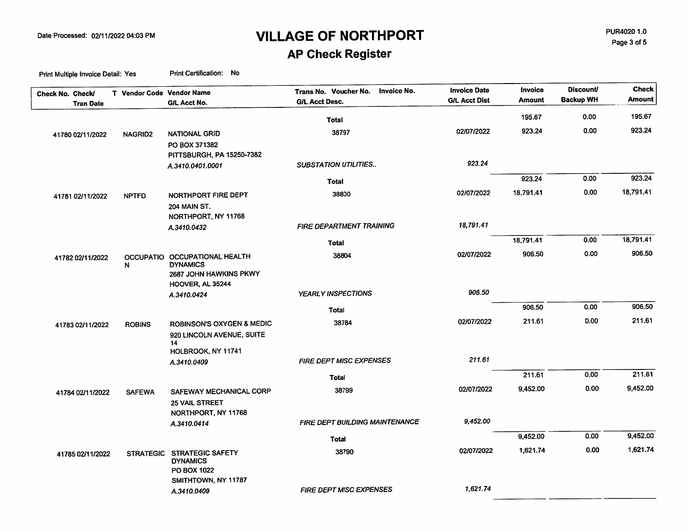PUR4020 1.0 Page 3 of 5

### **AP Check Register**

| Check No. Check/<br><b>Tran Date</b> | T Vendor Code Vendor Name | G/L Acct No.                         | Invoice No.<br>Trans No. Voucher No.<br><b>G/L Acct Desc.</b> | <b>Invoice Date</b><br><b>G/L Acct Dist</b> | Invoice<br><b>Amount</b> | <b>Discount/</b><br><b>Backup WH</b> | <b>Check</b><br>Amount |
|--------------------------------------|---------------------------|--------------------------------------|---------------------------------------------------------------|---------------------------------------------|--------------------------|--------------------------------------|------------------------|
|                                      |                           |                                      |                                                               |                                             | 195.67                   | 0.00                                 | 195.67                 |
|                                      |                           |                                      | <b>Total</b>                                                  |                                             |                          | 0.00                                 | 923.24                 |
| 41780 02/11/2022                     | NAGRID2                   | <b>NATIONAL GRID</b>                 | 38797                                                         | 02/07/2022                                  | 923.24                   |                                      |                        |
|                                      |                           | PO BOX 371382                        |                                                               |                                             |                          |                                      |                        |
|                                      |                           | PITTSBURGH, PA 15250-7382            | <b>SUBSTATION UTILITIES</b>                                   | 923.24                                      |                          |                                      |                        |
|                                      |                           | A.3410.0401.0001                     |                                                               |                                             |                          |                                      |                        |
|                                      |                           |                                      | <b>Total</b>                                                  |                                             | 923.24                   | 0.00                                 | 923.24                 |
| 41781 02/11/2022                     | <b>NPTFD</b>              | NORTHPORT FIRE DEPT                  | 38800                                                         | 02/07/2022                                  | 18,791.41                | 0.00                                 | 18,791.41              |
|                                      |                           | <b>204 MAIN ST.</b>                  |                                                               |                                             |                          |                                      |                        |
|                                      |                           | NORTHPORT, NY 11768                  |                                                               |                                             |                          |                                      |                        |
|                                      |                           | A.3410.0432                          | <b>FIRE DEPARTMENT TRAINING</b>                               | 18,791.41                                   |                          |                                      |                        |
|                                      |                           |                                      | <b>Total</b>                                                  |                                             | 18,791.41                | 0.00                                 | 18,791.41              |
| 41782 02/11/2022                     |                           | OCCUPATIO OCCUPATIONAL HEALTH        | 38804                                                         | 02/07/2022                                  | 906.50                   | 0.00                                 | 906.50                 |
|                                      | N                         | <b>DYNAMICS</b>                      |                                                               |                                             |                          |                                      |                        |
|                                      |                           | 2687 JOHN HAWKINS PKWY               |                                                               |                                             |                          |                                      |                        |
|                                      |                           | HOOVER, AL 35244                     |                                                               | 906.50                                      |                          |                                      |                        |
|                                      |                           | A.3410.0424                          | YEARLY INSPECTIONS                                            |                                             |                          |                                      |                        |
|                                      |                           |                                      | Total                                                         |                                             | 906.50                   | 0.00                                 | 906.50                 |
| 41783 02/11/2022                     | <b>ROBINS</b>             | <b>ROBINSON'S OXYGEN &amp; MEDIC</b> | 38784                                                         | 02/07/2022                                  | 211.61                   | 0.00                                 | 211.61                 |
|                                      |                           | 920 LINCOLN AVENUE, SUITE            |                                                               |                                             |                          |                                      |                        |
|                                      |                           | 14                                   |                                                               |                                             |                          |                                      |                        |
|                                      |                           | HOLBROOK, NY 11741<br>A.3410.0409    | <b>FIRE DEPT MISC EXPENSES</b>                                | 211.61                                      |                          |                                      |                        |
|                                      |                           |                                      |                                                               |                                             |                          | 0.00                                 | 211.61                 |
|                                      |                           |                                      | <b>Total</b>                                                  |                                             | 211.61                   |                                      |                        |
| 41784 02/11/2022                     | <b>SAFEWA</b>             | SAFEWAY MECHANICAL CORP              | 38799                                                         | 02/07/2022                                  | 9,452.00                 | 0.00                                 | 9,452.00               |
|                                      |                           | <b>25 VAIL STREET</b>                |                                                               |                                             |                          |                                      |                        |
|                                      |                           | NORTHPORT, NY 11768                  |                                                               |                                             |                          |                                      |                        |
|                                      |                           | A.3410.0414                          | <b>FIRE DEPT BUILDING MAINTENANCE</b>                         | 9,452.00                                    |                          |                                      |                        |
|                                      |                           |                                      | Total                                                         |                                             | 9,452.00                 | 0.00                                 | 9,452.00               |
| 41785 02/11/2022                     |                           | STRATEGIC STRATEGIC SAFETY           | 38790                                                         | 02/07/2022                                  | 1,621.74                 | 0.00                                 | 1,621.74               |
|                                      |                           | <b>DYNAMICS</b>                      |                                                               |                                             |                          |                                      |                        |
|                                      |                           | <b>PO BOX 1022</b>                   |                                                               |                                             |                          |                                      |                        |
|                                      |                           | SMITHTOWN, NY 11787                  | <b>FIRE DEPT MISC EXPENSES</b>                                | 1,621.74                                    |                          |                                      |                        |
|                                      |                           | A.3410.0409                          |                                                               |                                             |                          |                                      |                        |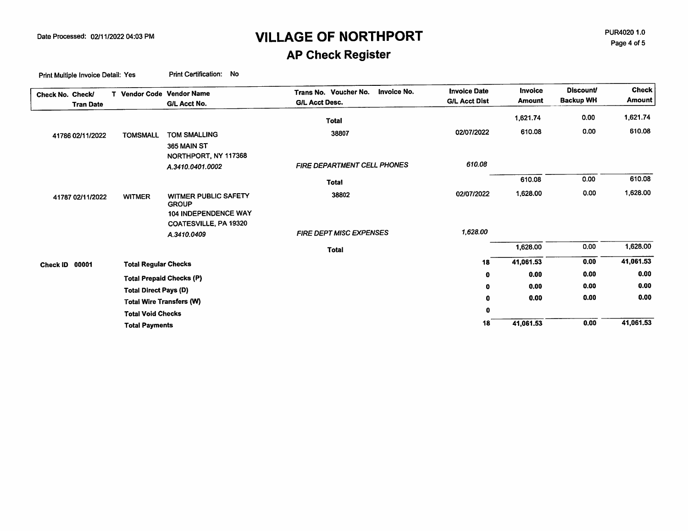**AP Check Register** 

| Check No. Check/<br><b>Tran Date</b> | T Vendor Code Vendor Name    | G/L Acct No.                                                                                        | Invoice No.<br>Trans No. Voucher No.<br><b>G/L Acct Desc.</b> | <b>Invoice Date</b><br><b>G/L Acct Dist</b> | Invoice<br><b>Amount</b> | <b>Discount/</b><br><b>Backup WH</b> | <b>Check</b><br><b>Amount</b> |
|--------------------------------------|------------------------------|-----------------------------------------------------------------------------------------------------|---------------------------------------------------------------|---------------------------------------------|--------------------------|--------------------------------------|-------------------------------|
|                                      |                              |                                                                                                     | <b>Total</b>                                                  |                                             | 1,621.74                 | 0.00                                 | 1,621.74                      |
| 41786 02/11/2022                     | <b>TOMSMALL</b>              | <b>TOM SMALLING</b>                                                                                 | 38807                                                         | 02/07/2022                                  | 610.08                   | 0.00                                 | 610.08                        |
|                                      |                              | 365 MAIN ST<br>NORTHPORT, NY 117368                                                                 |                                                               |                                             |                          |                                      |                               |
|                                      |                              | A.3410.0401.0002                                                                                    | FIRE DEPARTMENT CELL PHONES                                   | 610.08                                      |                          |                                      |                               |
|                                      |                              |                                                                                                     | <b>Total</b>                                                  |                                             | 610.08                   | 0.00                                 | 610.08                        |
| 41787 02/11/2022                     | <b>WITMER</b>                | WITMER PUBLIC SAFETY<br><b>GROUP</b><br><b>104 INDEPENDENCE WAY</b><br><b>COATESVILLE, PA 19320</b> | 38802                                                         | 02/07/2022                                  | 1,628.00                 | 0.00                                 | 1,628.00                      |
|                                      |                              | A.3410.0409                                                                                         | FIRE DEPT MISC EXPENSES                                       | 1,628.00                                    |                          |                                      |                               |
|                                      |                              |                                                                                                     | <b>Total</b>                                                  |                                             | 1,628.00                 | 0.00                                 | 1,628.00                      |
| 00001<br>Check ID                    | <b>Total Regular Checks</b>  |                                                                                                     |                                                               | 18                                          | 41,061.53                | 0.00                                 | 41,061.53                     |
|                                      |                              | <b>Total Prepaid Checks (P)</b>                                                                     |                                                               | $\mathbf 0$                                 | 0.00                     | 0.00                                 | 0.00                          |
|                                      | <b>Total Direct Pays (D)</b> |                                                                                                     |                                                               | $\mathbf 0$                                 | 0.00                     | 0.00                                 | 0.00                          |
|                                      |                              | <b>Total Wire Transfers (W)</b>                                                                     |                                                               | $\mathbf 0$                                 | 0.00                     | 0.00                                 | 0.00                          |
|                                      | <b>Total Void Checks</b>     |                                                                                                     |                                                               | 0                                           |                          |                                      |                               |
|                                      | <b>Total Payments</b>        |                                                                                                     |                                                               | 18                                          | 41,061.53                | 0.00                                 | 41,061.53                     |